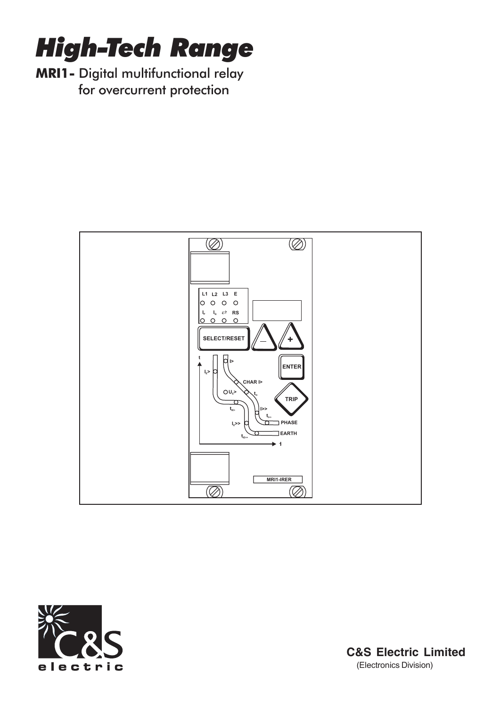

MRI1- Digital multifunctional relay for overcurrent protection





**C&S Electric Limited** (Electronics Division)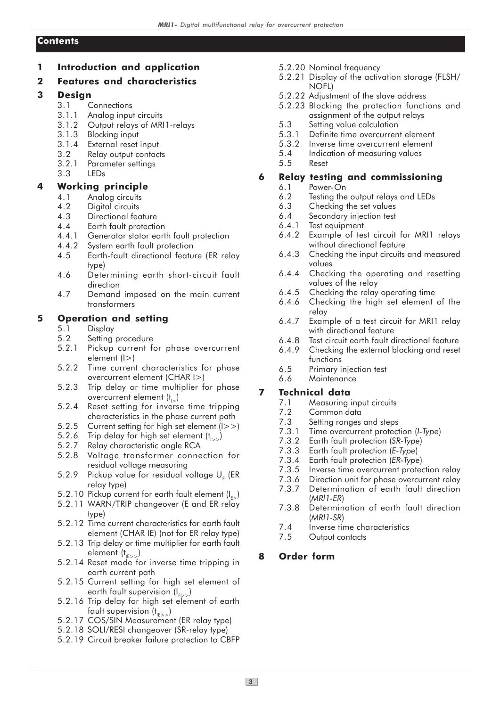### **Contents**

1 Introduction and application

### 2 Features and characteristics

### 3 Design

- 3.1 Connections
- 3.1.1 Analog input circuits
- 3.1.2 Output relays of MRI1-relays<br>3.1.3 Blocking input
- Blocking input
- 3.1.4 External reset input
- 3.2 Relay output contacts
- 3.2.1 Parameter settings
- 3.3 LEDs

### 4 Working principle

- 4.1 Analog circuits
- 4.2 Digital circuits
- 4.3 Directional feature
- 4.4 Earth fault protection
- 4.4.1 Generator stator earth fault protection
- 4.4.2 System earth fault protection<br>4.5 Farth-fault directional featu
- 4.5 Earth-fault directional feature (ER relay type)
- 4.6 Determining earth short-circuit fault direction
- 4.7 Demand imposed on the main current transformers

### 5 Operation and setting

- 5.1 Display
- 5.2 Setting procedure
- 5.2.1 Pickup current for phase overcurrent element (I>)
- 5.2.2 Time current characteristics for phase overcurrent element (CHAR I>)
- 5.2.3 Trip delay or time multiplier for phase overcurrent element  $(t_{i_{\sim}})$
- 5.2.4 Reset setting for inverse time tripping characteristics in the phase current path
- 5.2.5 Current setting for high set element (I>>)
- 5.2.6 Trip delay for high set element  $(t<sub>1></sub>)$ <br>5.2.7 Relay characteristic angle RCA
- Relay characteristic angle RCA
- 5.2.8 Voltage transformer connection for residual voltage measuring
- 5.2.9 Pickup value for residual voltage  $\sf U_{\sf E}$  (ER relay type)
- 5.2.10 Pickup current for earth fault element  $(I_{E_2})$
- 5.2.11 WARN/TRIP changeover (E and ER relay type)
- 5.2.12 Time current characteristics for earth fault element (CHAR IE) (not for ER relay type)
- 5.2.13 Trip delay or time multiplier for earth fault element  $(t<sub>IE>></sub>)$
- 5.2.14 Reset mode for inverse time tripping in earth current path
- 5.2.15 Current setting for high set element of earth fault supervision  $(I_{E>>}$ )
- 5.2.16 Trip delay for high set element of earth fault supervision  $(t_{\text{H}\text{>}})$
- 5.2.17 COS/SIN Measurement (ER relay type)
- 5.2.18 SOLI/RESI changeover (SR-relay type)
- 5.2.19 Circuit breaker failure protection to CBFP
- 5.2.20 Nominal frequency
- 5.2.21 Display of the activation storage (FLSH/ NOFL)
- 5.2.22 Adjustment of the slave address
- 5.2.23 Blocking the protection functions and assignment of the output relays
- 5.3 Setting value calculation
- 5.3.1 Definite time overcurrent element<br>5.3.2 Inverse time overcurrent element
- 5.3.2 Inverse time overcurrent element<br>5.4 Indication of measuring values
- 5.4 Indication of measuring values
- 5.5 Reset

# 6 Relay testing and commissioning

- 6.1 Power-On
- 6.2 Testing the output relays and LEDs<br>6.3 Checking the set values
- 6.3 Checking the set values<br>6.4 Secondary injection test
- Secondary injection test
- 6.4.1 Test equipment
- 6.4.2 Example of test circuit for MRI1 relays without directional feature
- 6.4.3 Checking the input circuits and measured values
- 6.4.4 Checking the operating and resetting values of the relay
- 6.4.5 Checking the relay operating time<br>6.4.6 Checking the high set element
- Checking the high set element of the relay
- 6.4.7 Example of a test circuit for MRI1 relay with directional feature
- 6.4.8 Test circuit earth fault directional feature
- 6.4.9 Checking the external blocking and reset functions
- 6.5 Primary injection test
- 6.6 Maintenance

# 7 Technical data

- 7.1 Measuring input circuits
- 7.2 Common data
- 7.3 Setting ranges and steps
- 7.3.1 Time overcurrent protection (I-Type)
- 7.3.2 Earth fault protection (SR-Type)
- 7.3.3 Earth fault protection (E-Type)
- 7.3.4 Earth fault protection (ER-Type)
- 7.3.5 Inverse time overcurrent protection relay
- 7.3.6 Direction unit for phase overcurrent relay 7.3.7 Determination of earth fault direction
- (MRl1-ER)
- 7.3.8 Determination of earth fault direction (MRl1-SR)
- 7.4 Inverse time characteristics
- 7.5 Output contacts

# 8 Order form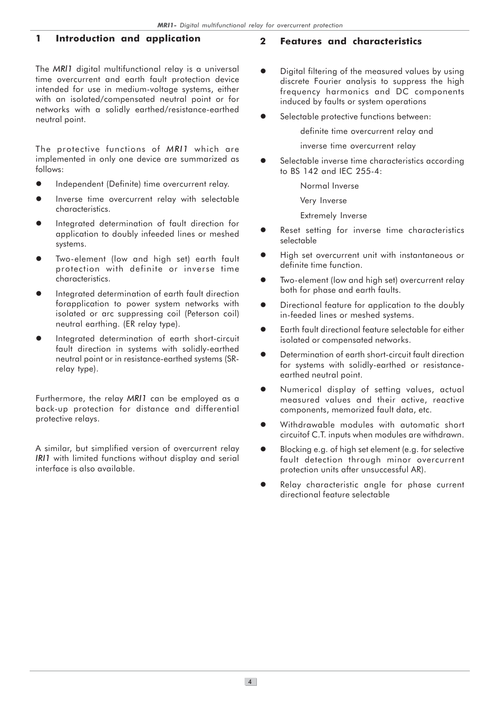### 1 Introduction and application

The MRI1 digital multifunctional relay is a universal time overcurrent and earth fault protection device intended for use in medium-voltage systems, either with an isolated/compensated neutral point or for networks with a solidly earthed/resistance-earthed neutral point.

The protective functions of MRI1 which are implemented in only one device are summarized as follows:

- $\bullet$ Independent (Definite) time overcurrent relay.
- $\bullet$  Inverse time overcurrent relay with selectable characteristics.
- $\bullet$  Integrated determination of fault direction for application to doubly infeeded lines or meshed systems.
- $\bullet$  Two-element (low and high set) earth fault protection with definite or inverse time characteristics.
- $\bullet$  Integrated determination of earth fault direction forapplication to power system networks with isolated or arc suppressing coil (Peterson coil) neutral earthing. (ER relay type).
- $\bullet$  Integrated determination of earth short-circuit fault direction in systems with solidly-earthed neutral point or in resistance-earthed systems (SRrelay type).

Furthermore, the relay MRI1 can be employed as a back-up protection for distance and differential protective relays.

A similar, but simplified version of overcurrent relay IRI1 with limited functions without display and serial interface is also available.

#### 2 Features and characteristics

- $\bullet$  Digital filtering of the measured values by using discrete Fourier analysis to suppress the high frequency harmonics and DC components induced by faults or system operations
- $\bullet$ Selectable protective functions between:

definite time overcurrent relay and

inverse time overcurrent relay

 $\bullet$  Selectable inverse time characteristics according to BS 142 and IEC 255-4:

Normal Inverse

Very Inverse

Extremely Inverse

- $\bullet$  Reset setting for inverse time characteristics selectable
- $\bullet$  High set overcurrent unit with instantaneous or definite time function.
- $\bullet$  Two-element (low and high set) overcurrent relay both for phase and earth faults.
- $\bullet$  Directional feature for application to the doubly in-feeded lines or meshed systems.
- $\bullet$  Earth fault directional feature selectable for either isolated or compensated networks.
- $\bullet$  Determination of earth short-circuit fault direction for systems with solidly-earthed or resistanceearthed neutral point.
- $\bullet$  Numerical display of setting values, actual measured values and their active, reactive components, memorized fault data, etc.
- $\bullet$  Withdrawable modules with automatic short circuitof C.T. inputs when modules are withdrawn.
- $\bullet$  Blocking e.g. of high set element (e.g. for selective fault detection through minor overcurrent protection units after unsuccessful AR).
- $\bullet$  Relay characteristic angle for phase current directional feature selectable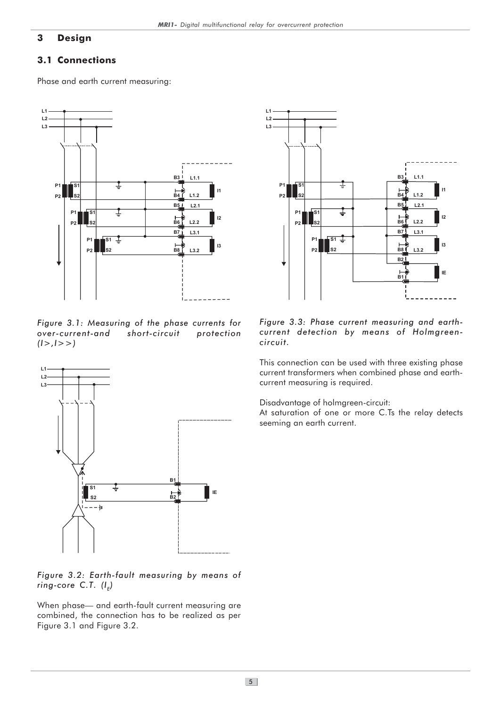### 3 Design

### 3.1 Connections

Phase and earth current measuring:



Figure 3.1: Measuring of the phase currents for over-current-and short-circuit protection  $(1 >, 1 >)$ 



#### Figure 3.2: Earth-fault measuring by means of ring-core C.T.  $(I<sub>F</sub>)$

When phase— and earth-fault current measuring are combined, the connection has to be realized as per Figure 3.1 and Figure 3.2.



#### Figure 3.3: Phase current measuring and earthcurrent detection by means of Holmgreencircuit.

This connection can be used with three existing phase current transformers when combined phase and earthcurrent measuring is required.

Disadvantage of holmgreen-circuit:

At saturation of one or more C.Ts the relay detects seeming an earth current.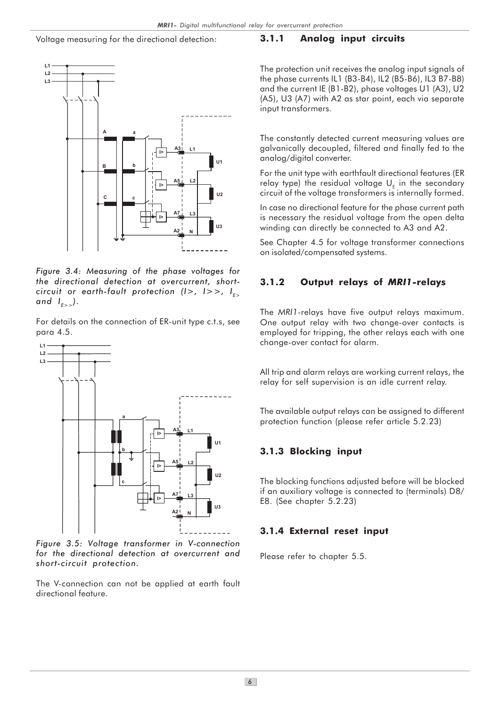#### Voltage measuring for the directional detection:



Figure 3.4: Measuring of the phase voltages for the directional detection at overcurrent, shortcircuit or earth-fault protection ( $I$ >,  $I$ >>,  $I_{\epsilon}$ ) and  $I_{E>>}$ ).

For details on the connection of ER-unit type c.t.s, see para 4.5.



Figure 3.5: Voltage transformer in V-connection for the directional detection at overcurrent and short-circuit protection.

The V-connection can not be applied at earth fault directional feature.

#### 3.1.1 Analog input circuits

The protection unit receives the analog input signals of the phase currents IL1 (B3-B4), IL2 (B5-B6), IL3 B7-B8) and the current IE (B1-B2), phase voltages U1 (A3), U2 (A5), U3 (A7) with A2 as star point, each via separate input transformers.

The constantly detected current measuring values are galvanically decoupled, filtered and finally fed to the analog/digital converter.

For the unit type with earthfault directional features (ER relay type) the residual voltage  $\mathsf{U}_{_\mathsf{E}}$  in the secondary circuit of the voltage transformers is internally formed.

In case no directional feature for the phase current path is necessary the residual voltage from the open delta winding can directly be connected to A3 and A2.

See Chapter 4.5 for voltage transformer connections on isolated/compensated systems.

#### 3.1.2 Output relays of MRI1-relays

The MRI1-relays have five output relays maximum. One output relay with two change-over contacts is employed for tripping, the other relays each with one change-over contact for alarm.

All trip and alarm relays are working current relays, the relay for self supervision is an idle current relay.

The available output relays can be assigned to different protection function (please refer article 5.2.23)

#### 3.1.3 Blocking input

The blocking functions adjusted before will be blocked if an auxiliary voltage is connected to (terminals) D8/ E8. (See chapter 5.2.23)

#### 3.1.4 External reset input

Please refer to chapter 5.5.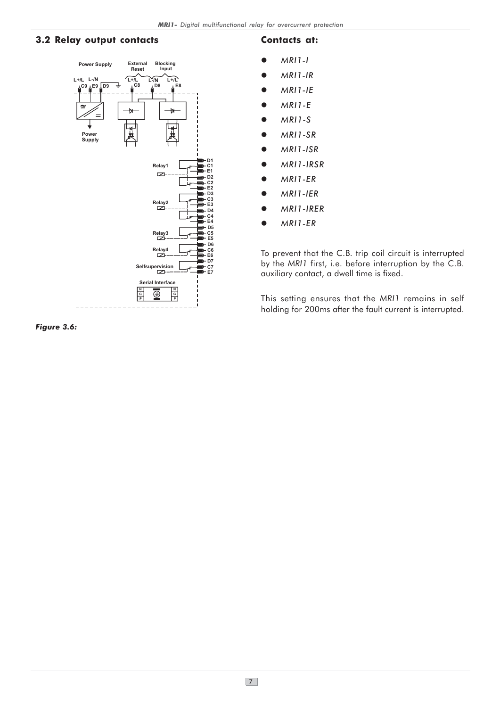#### 3.2 Relay output contacts



#### Contacts at:

- $\bullet$ MRI1-I
- $\bullet$ MRI1-IR
- $\bullet$ MRI1-IE
- $\bullet$ MRI1-E
- $\bullet$ MRI1-S
- $\bullet$ MRI1-SR
- $\bullet$ MRI1-ISR
- $\bullet$ MRI1-IRSR
- $\bullet$ MRI1-ER
- $\bullet$ MRI1-IER
- $\bullet$ MRI1-IRER
- $\bullet$ MRI1-ER

To prevent that the C.B. trip coil circuit is interrupted by the MRI1 first, i.e. before interruption by the C.B. auxiliary contact, a dwell time is fixed.

This setting ensures that the MRI1 remains in self holding for 200ms after the fault current is interrupted.

Figure 3.6: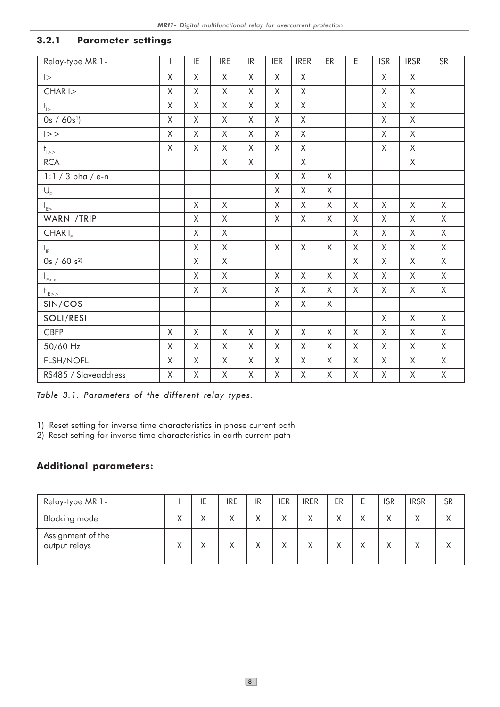### 3.2.1 Parameter settings

| Relay-type MRI1-              | $\mathbf{I}$       | ΙE           | <b>IRE</b>   | IR           | <b>IER</b>   | <b>IRER</b>  | ER           | $\mathsf E$  | <b>ISR</b>   | <b>IRSR</b>  | <b>SR</b>    |
|-------------------------------|--------------------|--------------|--------------|--------------|--------------|--------------|--------------|--------------|--------------|--------------|--------------|
| $\vert$                       | $\mathsf{X}$       | $\mathsf X$  | $\mathsf{X}$ | $\mathsf{X}$ | $\mathsf{X}$ | $\mathsf{X}$ |              |              | $\mathsf{X}$ | X            |              |
| $CHAR$ $\vert$ $>$            | $\mathsf{X}$       | X            | $\mathsf{X}$ | $\mathsf{X}$ | X            | $\mathsf{X}$ |              |              | Χ            | $\mathsf{X}$ |              |
| $t_{1>}$                      | X                  | X            | X            | X            | X            | X            |              |              | X            | X            |              |
| $0s / 60s$ <sup>1</sup> )     | $\mathsf{X}% _{0}$ | X            | X            | X            | X            | X            |              |              | X            | X            |              |
| >>                            | X                  | X            | $\mathsf{X}$ | X            | $\mathsf{X}$ | X            |              |              | $\mathsf{X}$ | X            |              |
| $t_{\rm l>>}$                 | $\mathsf{X}% _{0}$ | X            | X            | $\mathsf X$  | X            | $\mathsf{X}$ |              |              | $\mathsf X$  | $\mathsf{X}$ |              |
| <b>RCA</b>                    |                    |              | X            | $\mathsf X$  |              | $\mathsf{X}$ |              |              |              | X            |              |
| $1:1/3$ pha / e-n             |                    |              |              |              | X            | X            | X            |              |              |              |              |
| $\mathsf{U}_{\mathsf{E}}$     |                    |              |              |              | X            | X            | X            |              |              |              |              |
| $\big _{E> }$                 |                    | $\mathsf X$  | $\mathsf{X}$ |              | $\mathsf{X}$ | $\mathsf{X}$ | $\mathsf{X}$ | $\mathsf{X}$ | $\mathsf{X}$ | $\mathsf{X}$ | X            |
| WARN /TRIP                    |                    | X            | $\mathsf{X}$ |              | X            | $\mathsf{X}$ | X            | X            | X            | $\mathsf{X}$ | X            |
| CHAR $I_{E}$                  |                    | $\mathsf{X}$ | $\mathsf{X}$ |              |              |              |              | $\mathsf X$  | X            | X            | $\mathsf{X}$ |
| $\mathsf{t}_{\mathsf{IE}}$    |                    | X            | X            |              | X            | X            | $\mathsf{X}$ | X            | X            | X            | X            |
| $0s / 60 s^{2}$               |                    | $\mathsf X$  | $\mathsf{X}$ |              |              |              |              | $\mathsf X$  | $\mathsf{X}$ | $\mathsf{X}$ | $\mathsf{X}$ |
| $I_{E>>}$                     |                    | $\mathsf X$  | $\mathsf{X}$ |              | $\mathsf{X}$ | $\mathsf{X}$ | $\mathsf{X}$ | $\mathsf{X}$ | X            | X            | X            |
| $t_{\underline{\text{IE}}>2}$ |                    | X            | $\mathsf X$  |              | X            | X            | $\mathsf{X}$ | X            | X            | X            | X            |
| SIN/COS                       |                    |              |              |              | X            | X            | $\mathsf{X}$ |              |              |              |              |
| SOLI/RESI                     |                    |              |              |              |              |              |              |              | $\mathsf{X}$ | X            | X            |
| <b>CBFP</b>                   | $\mathsf{X}$       | $\mathsf{X}$ | $\mathsf{X}$ | $\mathsf{X}$ | $\mathsf{X}$ | $\mathsf{X}$ | $\mathsf{X}$ | $\sf X$      | $\mathsf{X}$ | $\mathsf{X}$ | $\mathsf{X}$ |
| 50/60 Hz                      | X                  | X            | X            | $\mathsf{X}$ | X            | X            | $\mathsf{X}$ | X            | X            | $\mathsf{X}$ | X            |
| FLSH/NOFL                     | X                  | X            | X            | X            | X            | X            | X            | X            | X            | X            | X            |
| RS485 / Slaveaddress          | X                  | X            | X            | X            | X            | X            | X            | X            | X            | X            | X            |

Table 3.1: Parameters of the different relay types.

1) Reset setting for inverse time characteristics in phase current path

2) Reset setting for inverse time characteristics in earth current path

### Additional parameters:

| Relay-type MRI1-                   |              | ΙE           | <b>IRE</b> | IR                | ier          | <b>IRER</b> | ER           | ISR               | <b>IRSR</b>       | <b>SR</b>    |
|------------------------------------|--------------|--------------|------------|-------------------|--------------|-------------|--------------|-------------------|-------------------|--------------|
| Blocking mode                      | $\checkmark$ | $\mathbf{v}$ | Χ          | $\checkmark$<br>∧ | $\checkmark$ | Χ           | $\checkmark$ | $\checkmark$<br>∧ | $\checkmark$<br>∧ | $\checkmark$ |
| Assignment of the<br>output relays | v            |              | Χ          | $\checkmark$<br>∧ | $\checkmark$ | Χ           | $\checkmark$ | $\checkmark$      | $\checkmark$<br>∧ |              |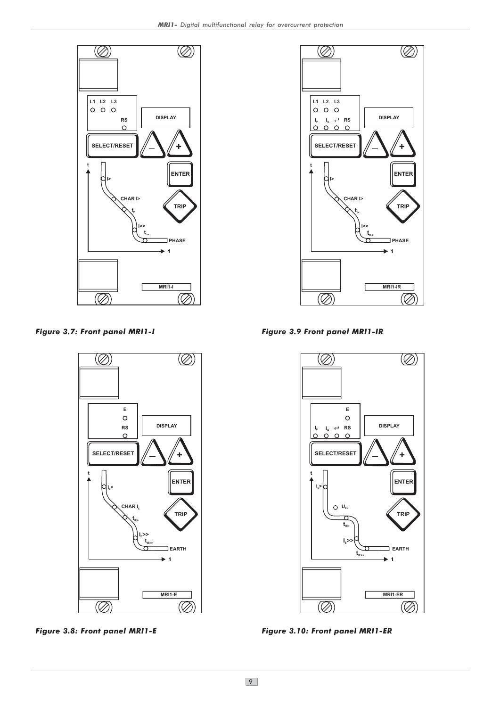

Figure 3.7: Front panel MRI1-I Figure 3.9 Front panel MRI1-IR







Figure 3.8: Front panel MRI1-E Figure 3.10: Front panel MRI1-ER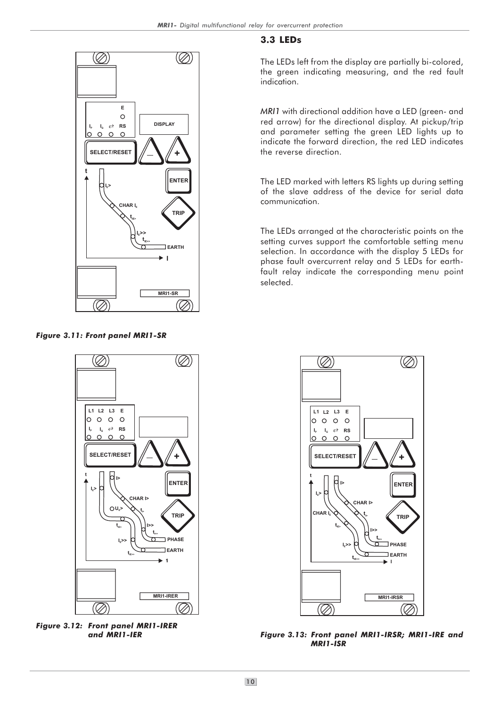### (Ø)  $(\oslash)$ **E**  $\Omega$ **DISPLAY**  $I_p$   $I_q \neq RS$  $\circ$   $\circ$   $\circ$  $\circ$ **SELECT/RESET + t ENTER IE> CHAR IE TRIP**  $\mathbf{t}_{\text{\tiny{IB}}}$ **IE>> tIE>> EARTH I MRI1-SR** Ø (7)

Figure 3.11: Front panel MRI1-SR

### 3.3 LEDs

The LEDs left from the display are partially bi-colored, the green indicating measuring, and the red fault indication.

MRI1 with directional addition have a LED (green- and red arrow) for the directional display. At pickup/trip and parameter setting the green LED lights up to indicate the forward direction, the red LED indicates the reverse direction.

The LED marked with letters RS lights up during setting of the slave address of the device for serial data communication.

The LEDs arranged at the characteristic points on the setting curves support the comfortable setting menu selection. In accordance with the display 5 LEDs for phase fault overcurrent relay and 5 LEDs for earthfault relay indicate the corresponding menu point selected.



Figure 3.12: Front panel MRI1-IRER and MRI1-IER



Figure 3.13: Front panel MRI1-IRSR; MRI1-IRE and MRI1-ISR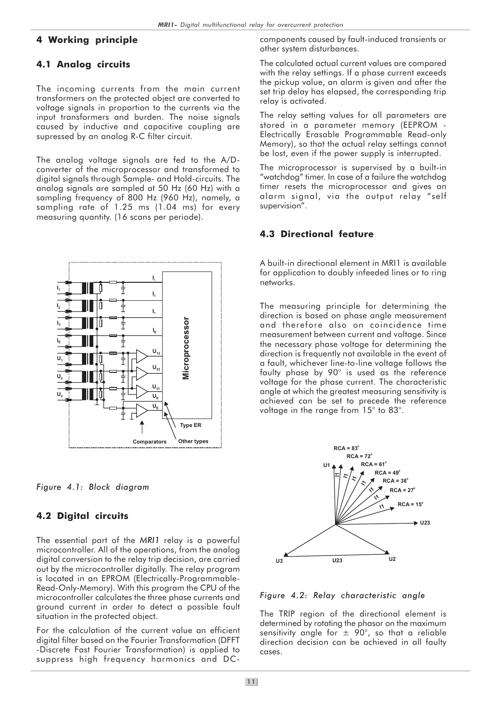#### 4 Working principle

#### 4.1 Analog circuits

The incoming currents from the main current transformers on the protected object are converted to voltage signals in proportion to the currents via the input transformers and burden. The noise signals caused by inductive and capacitive coupling are supressed by an analog R-C filter circuit.

The analog voltage signals are fed to the A/Dconverter of the microprocessor and transformed to digital signals through Sample- and Hold-circuits. The analog signals are sampled at 50 Hz (60 Hz) with a sampling frequency of 800 Hz (960 Hz), namely, a sampling rate of 1.25 ms (1.04 ms) for every measuring quantity. (16 scans per periode).



Figure 4.1: Block diagram

#### 4.2 Digital circuits

The essential part of the MRI1 relay is a powerful microcontroller. All of the operations, from the analog digital conversion to the relay trip decision, are carried out by the microcontroller digitally. The relay program is located in an EPROM (Electrically-Programmable-Read-Only-Memory). With this program the CPU of the microcontroller calculates the three phase currents and ground current in order to detect a possible fault situation in the protected object.

For the calculation of the current value an efficient digital filter based on the Fourier Transformation (DFFT -Discrete Fast Fourier Transformation) is applied to suppress high frequency harmonics and DC-

components caused by fault-induced transients or other system disturbances.

The calculated actual current values are compared with the relay settings. If a phase current exceeds the pickup value, an alarm is given and after the set trip delay has elapsed, the corresponding trip relay is activated.

The relay setting values for all parameters are stored in a parameter memory (EEPROM - Electrically Erasable Programmable Read-only Memory), so that the actual relay settings cannot be lost, even if the power supply is interrupted.

The microprocessor is supervised by a built-in "watchdog" timer. In case of a failure the watchdog timer resets the microprocessor and gives an alarm signal, via the output relay "self supervision".

#### 4.3 Directional feature

A built-in directional element in MRI1 is available for application to doubly infeeded lines or to ring networks.

The measuring principle for determining the direction is based on phase angle measurement and therefore also on coincidence time measurement between current and voltage. Since the necessary phase voltage for determining the direction is frequently not available in the event of a fault, whichever line-to-line voltage follows the faulty phase by 90° is used as the reference voltage for the phase current. The characteristic angle at which the greatest measuring sensitivity is achieved can be set to precede the reference voltage in the range from 15° to 83°.



Figure 4.2: Relay characteristic angle

The TRIP region of the directional element is determined by rotating the phasor on the maximum sensitivity angle for  $\pm$  90°, so that a reliable direction decision can be achieved in all faulty cases.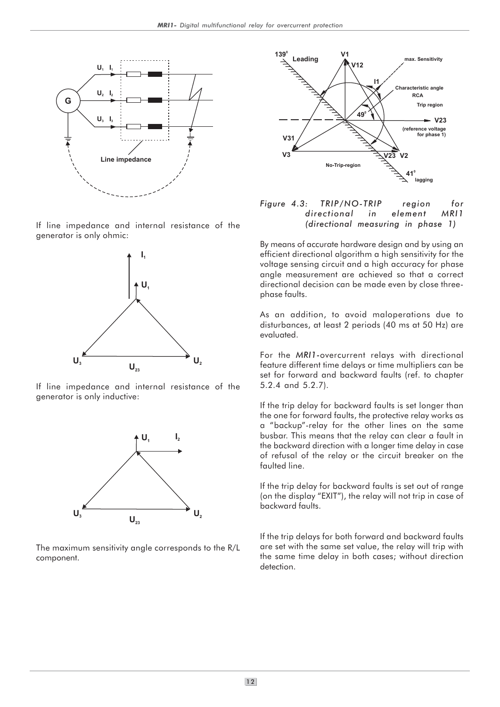

If line impedance and internal resistance of the generator is only ohmic:



If line impedance and internal resistance of the generator is only inductive:



The maximum sensitivity angle corresponds to the R/L component.



#### Figure 4.3: TRIP/NO-TRIP region for directional in element MRI1 (directional measuring in phase 1)

By means of accurate hardware design and by using an efficient directional algorithm a high sensitivity for the voltage sensing circuit and a high accuracy for phase angle measurement are achieved so that a correct directional decision can be made even by close threephase faults.

As an addition, to avoid maloperations due to disturbances, at least 2 periods (40 ms at 50 Hz) are evaluated.

For the MRI1-overcurrent relays with directional feature different time delays or time multipliers can be set for forward and backward faults (ref. to chapter 5.2.4 and 5.2.7).

If the trip delay for backward faults is set longer than the one for forward faults, the protective relay works as a "backup"-relay for the other lines on the same busbar. This means that the relay can clear a fault in the backward direction with a longer time delay in case of refusal of the relay or the circuit breaker on the faulted line.

If the trip delay for backward faults is set out of range (on the display "EXIT"), the relay will not trip in case of backward faults.

If the trip delays for both forward and backward faults are set with the same set value, the relay will trip with the same time delay in both cases; without direction detection.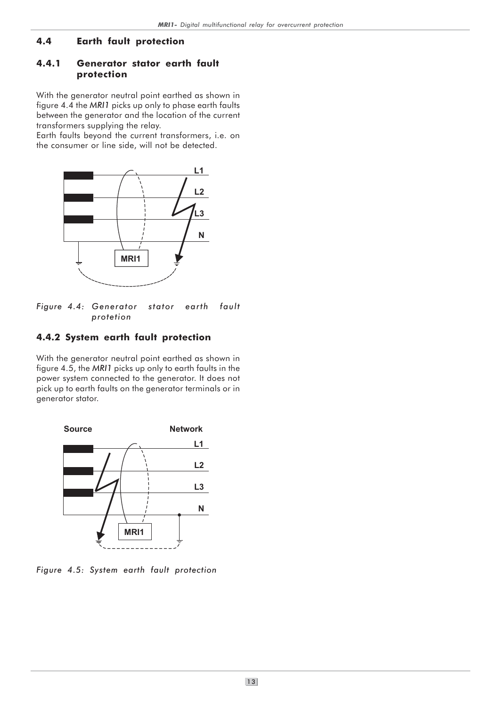### 4.4 Earth fault protection

#### 4.4.1 Generator stator earth fault protection

With the generator neutral point earthed as shown in figure 4.4 the MRI1 picks up only to phase earth faults between the generator and the location of the current transformers supplying the relay.

Earth faults beyond the current transformers, i.e. on the consumer or line side, will not be detected.



Figure 4.4: Generator stator earth fault protetion

# 4.4.2 System earth fault protection

With the generator neutral point earthed as shown in figure 4.5, the MRI1 picks up only to earth faults in the power system connected to the generator. It does not pick up to earth faults on the generator terminals or in generator stator.



Figure 4.5: System earth fault protection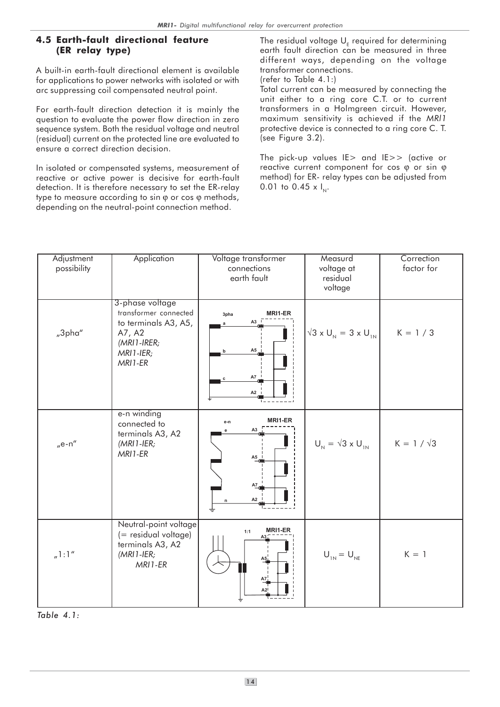### 4.5 Earth-fault directional feature (ER relay type)

A built-in earth-fault directional element is available for applications to power networks with isolated or with arc suppressing coil compensated neutral point.

For earth-fault direction detection it is mainly the question to evaluate the power flow direction in zero sequence system. Both the residual voltage and neutral (residual) current on the protected line are evaluated to ensure a correct direction decision.

In isolated or compensated systems, measurement of reactive or active power is decisive for earth-fault detection. It is therefore necessary to set the ER-relay type to measure according to sin φ or cos φ methods, depending on the neutral-point connection method.

The residual voltage  $\mathsf{U}_\mathsf{E}$  required for determining earth fault direction can be measured in three different ways, depending on the voltage transformer connections. (refer to Table 4.1:)

Total current can be measured by connecting the unit either to a ring core C.T. or to current transformers in a Holmgreen circuit. However, maximum sensitivity is achieved if the MRl1 protective device is connected to a ring core C. T. (see Figure 3.2).

The pick-up values IE> and IE>> (active or reactive current component for cos  $\varphi$  or sin  $\varphi$ method) for ER- relay types can be adjusted from 0.01 to 0.45 x  $I_{N}$ .

| Adjustment<br>possibility | Application                                                                                                         | Voltage transformer<br>connections<br>earth fault                                                                  | Measurd<br>voltage at<br>residual<br>voltage | Correction<br>factor for |
|---------------------------|---------------------------------------------------------------------------------------------------------------------|--------------------------------------------------------------------------------------------------------------------|----------------------------------------------|--------------------------|
| "3pha"                    | 3-phase voltage<br>transformer connected<br>to terminals A3, A5,<br>A7, A2<br>$(MRI1-IRER;$<br>MRI1-IER;<br>MRI1-ER | MRI1-ER<br>3pha<br>A3<br>$\mathbf{a}$<br>A5<br>b<br><b>A7</b><br>c<br>A2                                           | $\sqrt{3} \times U_{N} = 3 \times U_{1N}$    | $K = 1 / 3$              |
| $n$ e-n"                  | e-n winding<br>connected to<br>terminals A3, A2<br>$(MRI1-IER;$<br>MRI1-ER                                          | MRI1-ER<br>e-n<br>A <sub>3</sub><br>е<br>$A5$ <sup><math>\overline{\phantom{a}}</math></sup><br>A7<br>A2<br>n<br>± | $U_{N} = \sqrt{3} \times U_{1N}$             | $K = 1 / \sqrt{3}$       |
| n! : 1''                  | Neutral-point voltage<br>(= residual voltage)<br>terminals A3, A2<br>$(MRI1-IER;$<br>MRI1-ER                        | MRI1-ER<br>1:1<br>А5 <u>і</u><br>$A7_4$<br>$A2$ !                                                                  | $U_{1N} = U_{NE}$                            | $K = 1$                  |

Table 4.1: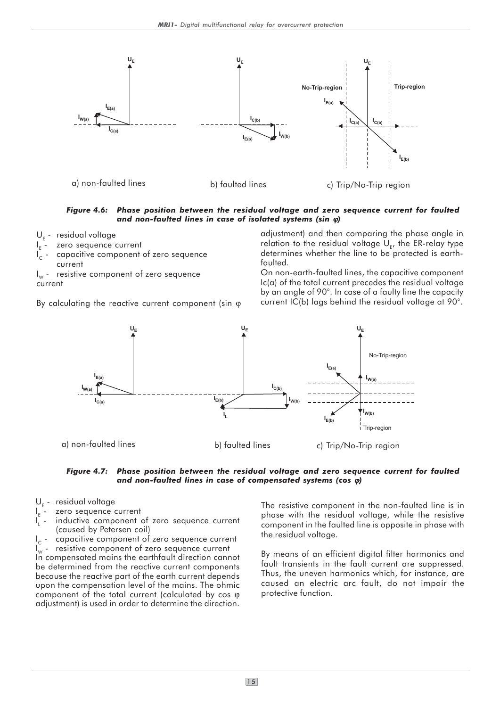

Figure 4.6: Phase position between the residual voltage and zero sequence current for faulted and non-faulted lines in case of isolated systems (sin ϕ)

- U<sub>E</sub> residual voltage
- I E zero sequence current
- I capacitive component of zero sequence
- current

 $\mathsf{I}_\mathsf{w}$  -  $\;$  resistive component of zero sequence current

By calculating the reactive current component (sin φ

adjustment) and then comparing the phase angle in relation to the residual voltage  $\mathsf{U}_{\mathsf{E}^{\prime}}$  the ER-relay type determines whether the line to be protected is earthfaulted.

On non-earth-faulted lines, the capacitive component Ic(a) of the total current precedes the residual voltage by an angle of 90°. In case of a faulty line the capacity current IC(b) lags behind the residual voltage at 90°.





- U<sub>E</sub> residual voltage
- I E zero sequence current
- I L inductive component of zero sequence current (caused by Petersen coil)

I capacitive component of zero sequence current  $I_{\rm w}$  - resistive component of zero sequence current In compensated mains the earthfault direction cannot be determined from the reactive current components because the reactive part of the earth current depends upon the compensation level of the mains. The ohmic component of the total current (calculated by cos ϕ adjustment) is used in order to determine the direction.

The resistive component in the non-faulted line is in phase with the residual voltage, while the resistive component in the faulted line is opposite in phase with the residual voltage.

By means of an efficient digital filter harmonics and fault transients in the fault current are suppressed. Thus, the uneven harmonics which, for instance, are caused an electric arc fault, do not impair the protective function.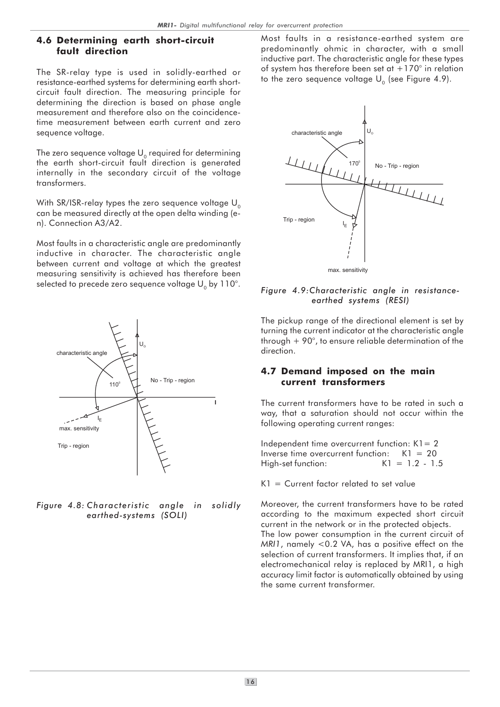#### 4.6 Determining earth short-circuit fault direction

The SR-relay type is used in solidly-earthed or resistance-earthed systems for determining earth shortcircuit fault direction. The measuring principle for determining the direction is based on phase angle measurement and therefore also on the coincidencetime measurement between earth current and zero sequence voltage.

The zero sequence voltage  $U_0$  required for determining the earth short-circuit fault direction is generated internally in the secondary circuit of the voltage transformers.

With SR/ISR-relay types the zero sequence voltage  $U_0$ can be measured directly at the open delta winding (en). Connection A3/A2.

Most faults in a characteristic angle are predominantly inductive in character. The characteristic angle between current and voltage at which the greatest measuring sensitivity is achieved has therefore been selected to precede zero sequence voltage  $U_0$  by 110°.



Figure 4.8: Characteristic angle in solidly earthed-systems (SOLI)

Most faults in a resistance-earthed system are predominantly ohmic in character, with a small inductive part. The characteristic angle for these types of system has therefore been set at  $+170^\circ$  in relation to the zero sequence voltage  $U_0$  (see Figure 4.9).



#### Figure 4.9:Characteristic angle in resistance earthed systems (RESI)

The pickup range of the directional element is set by turning the current indicator at the characteristic angle through  $+90^\circ$ , to ensure reliable determination of the direction.

#### 4.7 Demand imposed on the main current transformers

The current transformers have to be rated in such a way, that a saturation should not occur within the following operating current ranges:

Independent time overcurrent function:  $K1 = 2$ Inverse time overcurrent function:  $K1 = 20$ High-set function: K1 = 1.2 - 1.5

 $K1 =$  Current factor related to set value

Moreover, the current transformers have to be rated according to the maximum expected short circuit current in the network or in the protected objects. The low power consumption in the current circuit of MRI1, namely <0.2 VA, has a positive effect on the selection of current transformers. It implies that, if an electromechanical relay is replaced by MRI1, a high accuracy limit factor is automatically obtained by using the same current transformer.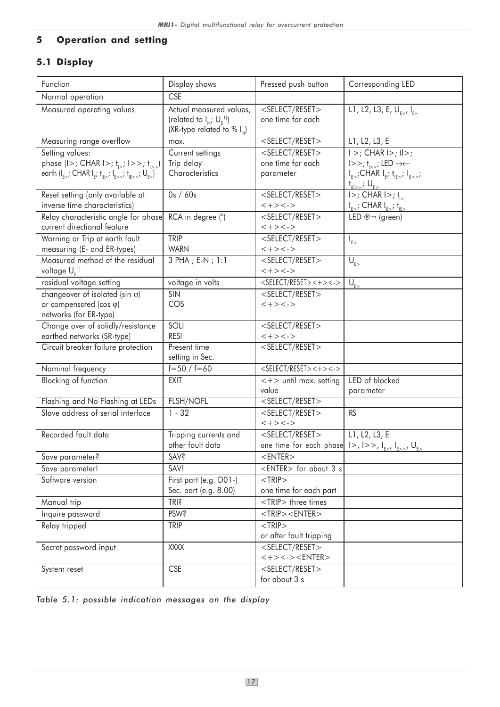# 5 Operation and setting

# 5.1 Display

| Function                                                                                                                                               | Display shows                                                                                    | Pressed push button                                                                                                                                                | Corresponding LED                                                                                                                                                              |
|--------------------------------------------------------------------------------------------------------------------------------------------------------|--------------------------------------------------------------------------------------------------|--------------------------------------------------------------------------------------------------------------------------------------------------------------------|--------------------------------------------------------------------------------------------------------------------------------------------------------------------------------|
| Normal operation                                                                                                                                       | <b>CSE</b>                                                                                       |                                                                                                                                                                    |                                                                                                                                                                                |
| Measured operating values                                                                                                                              | Actual measured values,<br>(related to $I_{N}$ ; $U_{F}^{11}$ )<br>(XR-type related to % $I_N$ ) | <select reset=""><br/>one time for each</select>                                                                                                                   | $\overline{L1, L2, L3}$ , E, U <sub>FS</sub> , I <sub>FS</sub>                                                                                                                 |
| Measuring range overflow                                                                                                                               | max.                                                                                             | <select reset=""></select>                                                                                                                                         | L1, L2, L3, E                                                                                                                                                                  |
| Setting values:<br>phase (I>; CHAR I>; $t_{1>}$ ; I>>; $t_{1>}$ )<br>earth $(I_{F}$ ; CHAR $I_{F}$ ; $I_{F}$ ; $I_{F}$ ; $I_{F}$ ; $I_{F}$ ; $U_{F}$ ) | Current settings<br>Trip delay<br>Characteristics                                                | <select reset=""><br/>one time for each<br/>parameter</select>                                                                                                     | $ $ >; CHAR $ $ >; $ $ ) =;<br>$ >>; t_{\text{loss}}$ ; LED $\rightarrow\leftarrow$<br>$I_{E>}$ ;CHAR $I_{E}$ ; $I_{E>}$ ; $I_{E>>}$ ;<br>$t_{\text{IF>>}}$ ; $U_{\text{E>>}}$ |
| Reset setting (only available at<br>inverse time characteristics)                                                                                      | 0s / 60s                                                                                         | <select reset=""><br/><math>&lt;+&gt;&lt;-&gt;</math></select>                                                                                                     | $ >\right;$ CHAR $ >\right;$ $t_{\text{in}}$<br>$I_{E>}$ ; CHAR $I_{E>}$ ; $t_{E>}$                                                                                            |
| Relay characteristic angle for phase<br>current directional feature                                                                                    | RCA in degree (°)                                                                                | <select reset=""><br/><math>&lt;+&gt;&lt;-&gt;</math></select>                                                                                                     | LED $\mathbb{R}$ $\neg$ (green)                                                                                                                                                |
| Warning or Trip at earth fault<br>measuring (E- and ER-types)                                                                                          | <b>TRIP</b><br><b>WARN</b>                                                                       | <select reset=""><br/><math>&lt; + &gt; &lt; - &gt;</math></select>                                                                                                | $I_{E>}$                                                                                                                                                                       |
| Measured method of the residual<br>voltage U <sub>r</sub> <sup>1)</sup>                                                                                | 3 PHA ; E-N ; 1:1                                                                                | <select reset=""><br/><math>&lt; + &gt; &lt; - &gt;</math></select>                                                                                                | $U_{E>}$                                                                                                                                                                       |
| residual voltage setting                                                                                                                               | voltage in volts                                                                                 | $<$ SELECT/RESET><+><->                                                                                                                                            | $U_{E>}$                                                                                                                                                                       |
| changeover of isolated (sin $\varphi$ )<br>or compensated (cos $\varphi$ )<br>networks (for ER-type)                                                   | <b>SIN</b><br>COS                                                                                | <select reset=""><br/><math>&lt;+&gt;&lt;-&gt;</math></select>                                                                                                     |                                                                                                                                                                                |
| Change over of solidly/resistance<br>earthed networks (SR-type)                                                                                        | SOLI<br><b>RESI</b>                                                                              | <select reset=""><br/><math>&lt;+&gt;&lt;-&gt;</math></select>                                                                                                     |                                                                                                                                                                                |
| Circuit breaker failure protection                                                                                                                     | Present time<br>setting in Sec.                                                                  | <select reset=""></select>                                                                                                                                         |                                                                                                                                                                                |
| Nominal frequency                                                                                                                                      | $f=50 / f=60$                                                                                    | $<$ SELECT/RESET><+><->                                                                                                                                            |                                                                                                                                                                                |
| Blocking of function                                                                                                                                   | <b>EXIT</b>                                                                                      | $\lt +$ > until max. setting<br>value                                                                                                                              | LED of blocked<br>parameter                                                                                                                                                    |
| Flashing and No Flashing at LEDs                                                                                                                       | <b>FLSH/NOFL</b>                                                                                 | $<$ SELECT/RESET $>$                                                                                                                                               |                                                                                                                                                                                |
| Slave address of serial interface                                                                                                                      | $1 - 32$                                                                                         | $<$ SELECT/RESET><br>$<+><->$                                                                                                                                      | <b>RS</b>                                                                                                                                                                      |
| Recorded fault data                                                                                                                                    | Tripping currents and<br>other fault data                                                        | <select reset=""><br/>one time for each phase <math> 1&gt;</math>, <math> 2&gt;</math>, <math> _{E&gt;'} _{E&gt;&gt;'}</math>, <math>U_{E&gt;&gt;}</math></select> | L1, L2, L3, E                                                                                                                                                                  |
| Save parameter?                                                                                                                                        | SAV?                                                                                             | $<$ ENTER $>$                                                                                                                                                      |                                                                                                                                                                                |
| Save parameter!                                                                                                                                        | SAV!                                                                                             | <enter> for about 3 s</enter>                                                                                                                                      |                                                                                                                                                                                |
| Software version                                                                                                                                       | First part (e.g. D01-)<br>Sec. part (e.g. 8.00)                                                  | $<$ TRIP $>$<br>one time for each part                                                                                                                             |                                                                                                                                                                                |
| Manual trip                                                                                                                                            | <b>TRI?</b>                                                                                      | <trip> three times</trip>                                                                                                                                          |                                                                                                                                                                                |
| Inquire password                                                                                                                                       | <b>PSW?</b>                                                                                      | $\overline{\le}$ TRIP> $\le$ ENTER>                                                                                                                                |                                                                                                                                                                                |
| Relay tripped                                                                                                                                          | <b>TRIP</b>                                                                                      | $<$ TRIP $>$<br>or after fault tripping                                                                                                                            |                                                                                                                                                                                |
| Secret password input                                                                                                                                  | <b>XXXX</b>                                                                                      | $<$ SELECT/RESET><br>$<+><-><$ ENTER $>$                                                                                                                           |                                                                                                                                                                                |
| System reset                                                                                                                                           | CSE                                                                                              | <select reset=""><br/>for about 3 s</select>                                                                                                                       |                                                                                                                                                                                |

Table 5.1: possible indication messages on the display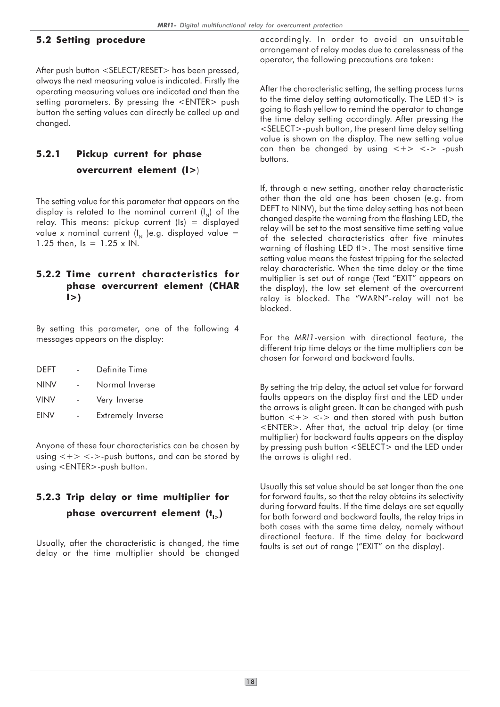#### 5.2 Setting procedure

After push button <SELECT/RESET> has been pressed, always the next measuring value is indicated. Firstly the operating measuring values are indicated and then the setting parameters. By pressing the <ENTER> push button the setting values can directly be called up and changed.

# 5.2.1 Pickup current for phase overcurrent element (I>)

The setting value for this parameter that appears on the display is related to the nominal current  $(I_{N})$  of the relay. This means: pickup current (Is) = displayed value x nominal current  $(I_{N})$ e.g. displayed value = 1.25 then,  $Is = 1.25 \times IN$ .

### 5.2.2 Time current characteristics for phase overcurrent element (CHAR  $|>$

By setting this parameter, one of the following 4 messages appears on the display:

| DEFT        | Definite Time            |
|-------------|--------------------------|
| <b>NINV</b> | Normal Inverse           |
| <b>VINV</b> | Very Inverse             |
| <b>EINV</b> | <b>Extremely Inverse</b> |

Anyone of these four characteristics can be chosen by using  $\langle + \rangle$   $\langle - \rangle$ -push buttons, and can be stored by using <ENTER>-push button.

# 5.2.3 Trip delay or time multiplier for phase overcurrent element  $(t_{1,})$

Usually, after the characteristic is changed, the time delay or the time multiplier should be changed

accordingly. In order to avoid an unsuitable arrangement of relay modes due to carelessness of the operator, the following precautions are taken:

After the characteristic setting, the setting process turns to the time delay setting automatically. The LED  $t > i$ s going to flash yellow to remind the operator to change the time delay setting accordingly. After pressing the <SELECT>-push button, the present time delay setting value is shown on the display. The new setting value can then be changed by using  $\langle + \rangle$   $\langle - \rangle$  -push buttons.

If, through a new setting, another relay characteristic other than the old one has been chosen (e.g. from DEFT to NINV), but the time delay setting has not been changed despite the warning from the flashing LED, the relay will be set to the most sensitive time setting value of the selected characteristics after five minutes warning of flashing LED tl>. The most sensitive time setting value means the fastest tripping for the selected relay characteristic. When the time delay or the time multiplier is set out of range (Text "EXIT" appears on the display), the low set element of the overcurrent relay is blocked. The "WARN"-relay will not be blocked.

For the MRI1-version with directional feature, the different trip time delays or the time multipliers can be chosen for forward and backward faults.

By setting the trip delay, the actual set value for forward faults appears on the display first and the LED under the arrows is alight green. It can be changed with push button  $\langle + \rangle$   $\langle - \rangle$  and then stored with push button <ENTER>. After that, the actual trip delay (or time multiplier) for backward faults appears on the display by pressing push button <SELECT> and the LED under the arrows is alight red.

Usually this set value should be set longer than the one for forward faults, so that the relay obtains its selectivity during forward faults. If the time delays are set equally for both forward and backward faults, the relay trips in both cases with the same time delay, namely without directional feature. If the time delay for backward faults is set out of range ("EXIT" on the display).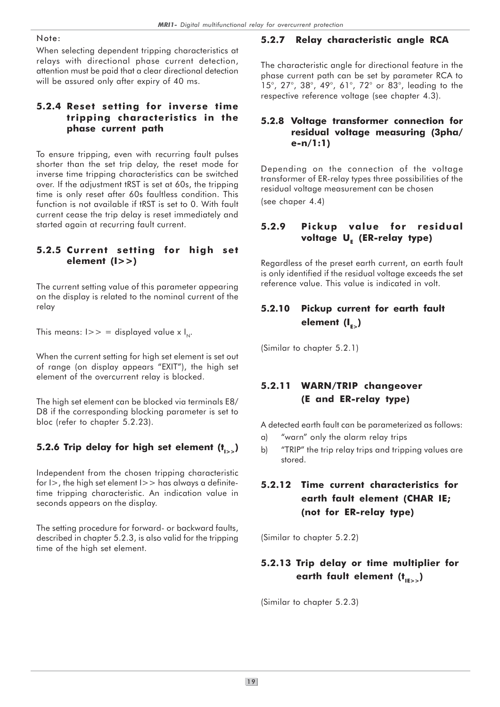#### Note:

When selecting dependent tripping characteristics at relays with directional phase current detection, attention must be paid that a clear directional detection will be assured only after expiry of 40 ms.

#### 5.2.4 Reset setting for inverse time tripping characteristics in the phase current path

To ensure tripping, even with recurring fault pulses shorter than the set trip delay, the reset mode for inverse time tripping characteristics can be switched over. If the adjustment tRST is set at 60s, the tripping time is only reset after 60s faultless condition. This function is not available if tRST is set to 0. With fault current cease the trip delay is reset immediately and started again at recurring fault current.

### 5.2.5 Current setting for high set element (I>>)

The current setting value of this parameter appearing on the display is related to the nominal current of the relay

This means:  $I>>$  = displayed value x  $I_{N}$ .

When the current setting for high set element is set out of range (on display appears "EXIT"), the high set element of the overcurrent relay is blocked.

The high set element can be blocked via terminals E8/ D8 if the corresponding blocking parameter is set to bloc (refer to chapter 5.2.23).

# 5.2.6 Trip delay for high set element  $(t_{i})$

Independent from the chosen tripping characteristic for  $I$  >, the high set element  $I$  >  $>$  has always a definitetime tripping characteristic. An indication value in seconds appears on the display.

The setting procedure for forward- or backward faults, described in chapter 5.2.3, is also valid for the tripping time of the high set element.

# 5.2.7 Relay characteristic angle RCA

The characteristic angle for directional feature in the phase current path can be set by parameter RCA to 15°, 27°, 38°, 49°, 61°, 72° or 83°, leading to the respective reference voltage (see chapter 4.3).

### 5.2.8 Voltage transformer connection for residual voltage measuring (3pha/ e-n/1:1)

Depending on the connection of the voltage transformer of ER-relay types three possibilities of the residual voltage measurement can be chosen (see chaper 4.4)

# 5.2.9 Pickup value for residual voltage U<sub>E</sub> (ER-relay type)

Regardless of the preset earth current, an earth fault is only identified if the residual voltage exceeds the set reference value. This value is indicated in volt.

# 5.2.10 Pickup current for earth fault element  $(I_{E_2})$

(Similar to chapter 5.2.1)

# 5.2.11 WARN/TRIP changeover (E and ER-relay type)

A detected earth fault can be parameterized as follows:

- a) "warn" only the alarm relay trips
- b) "TRIP" the trip relay trips and tripping values are stored.

# 5.2.12 Time current characteristics for earth fault element (CHAR IE; (not for ER-relay type)

(Similar to chapter 5.2.2)

# 5.2.13 Trip delay or time multiplier for earth fault element  $(t_{\text{max}})$

(Similar to chapter 5.2.3)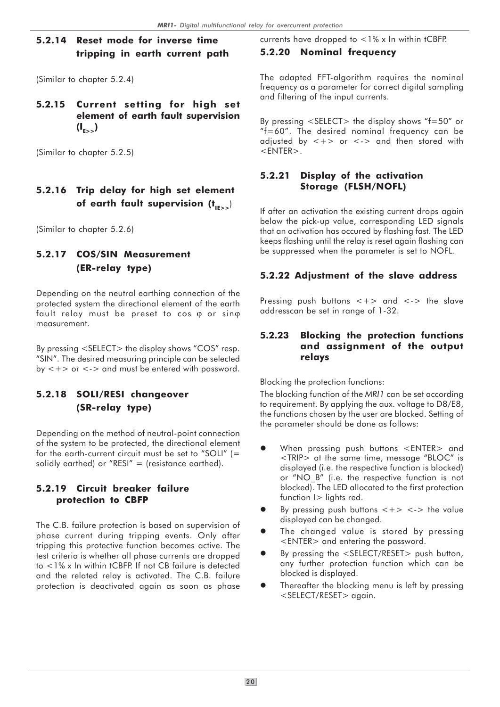### 5.2.14 Reset mode for inverse time tripping in earth current path

(Similar to chapter 5.2.4)

### 5.2.15 Current setting for high set element of earth fault supervision  $(I_{\epsilon} )$

(Similar to chapter 5.2.5)

# 5.2.16 Trip delay for high set element of earth fault supervision  $(t_{\text{HSS}})$

(Similar to chapter 5.2.6)

# 5.2.17 COS/SIN Measurement (ER-relay type)

Depending on the neutral earthing connection of the protected system the directional element of the earth fault relay must be preset to cos  $\varphi$  or sin $\varphi$ measurement.

By pressing <SELECT> the display shows "COS" resp. "SIN". The desired measuring principle can be selected by  $\langle + \rangle$  or  $\langle - \rangle$  and must be entered with password.

# 5.2.18 SOLI/RESI changeover (SR-relay type)

Depending on the method of neutral-point connection of the system to be protected, the directional element for the earth-current circuit must be set to "SOLI" (= solidly earthed) or "RESI" = (resistance earthed).

### 5.2.19 Circuit breaker failure protection to CBFP

The C.B. failure protection is based on supervision of phase current during tripping events. Only after tripping this protective function becomes active. The test criteria is whether all phase currents are dropped to <1% x In within tCBFP. If not CB failure is detected and the related relay is activated. The C.B. failure protection is deactivated again as soon as phase

currents have dropped to <1% x In within tCBFP.

### 5.2.20 Nominal frequency

The adapted FFT-algorithm requires the nominal frequency as a parameter for correct digital sampling and filtering of the input currents.

By pressing <SELECT> the display shows "f=50" or "f=60". The desired nominal frequency can be adjusted by  $\lt +$  or  $\lt$  -  $>$  and then stored with  $<$ ENTER $>$ .

### 5.2.21 Display of the activation Storage (FLSH/NOFL)

If after an activation the existing current drops again below the pick-up value, corresponding LED signals that an activation has occured by flashing fast. The LED keeps flashing until the relay is reset again flashing can be suppressed when the parameter is set to NOFL.

### 5.2.22 Adjustment of the slave address

Pressing push buttons  $\lt +$  and  $\lt$ - the slave addresscan be set in range of 1-32.

#### 5.2.23 Blocking the protection functions and assignment of the output relays

Blocking the protection functions:

The blocking function of the MRI1 can be set according to requirement. By applying the aux. voltage to D8/E8, the functions chosen by the user are blocked. Setting of the parameter should be done as follows:

- $\bullet$  When pressing push buttons <ENTER> and <TRIP> at the same time, message "BLOC" is displayed (i.e. the respective function is blocked) or "NO\_B" (i.e. the respective function is not blocked). The LED allocated to the first protection function I> lights red.
- $\bullet$ By pressing push buttons  $\langle + \rangle \langle - \rangle$  the value displayed can be changed.
- $\bullet$  The changed value is stored by pressing <ENTER> and entering the password.
- $\bullet$  By pressing the <SELECT/RESET> push button, any further protection function which can be blocked is displayed.
- $\bullet$  Thereafter the blocking menu is left by pressing <SELECT/RESET> again.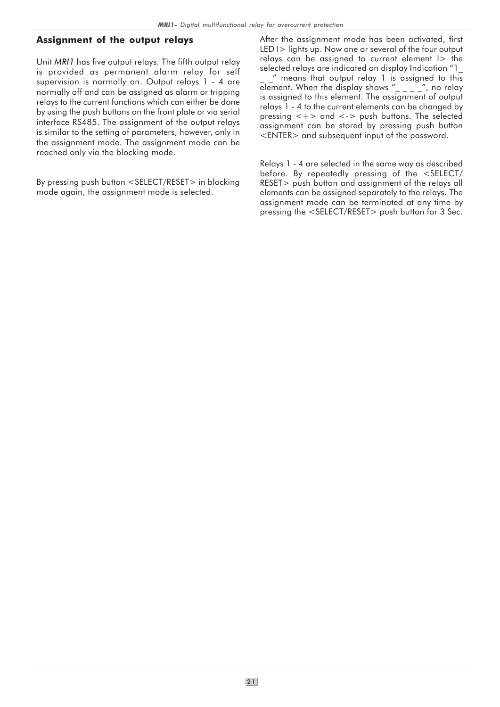### Assignment of the output relays

Unit MRI1 has five output relays. The fifth output relay is provided as permanent alarm relay for self supervision is normally on. Output relays 1 - 4 are normally off and can be assigned as alarm or tripping relays to the current functions which can either be done by using the push buttons on the front plate or via serial interface RS485. The assignment of the output relays is similar to the setting of parameters, however, only in the assignment mode. The assignment mode can be reached only via the blocking mode.

By pressing push button <SELECT/RESET> in blocking mode again, the assignment mode is selected.

After the assignment mode has been activated, first LED I > lights up. Now one or several of the four output relays can be assigned to current element I> the selected relays are indicated on display Indication "1\_

\_ \_" means that output relay 1 is assigned to this element. When the display shows " $\frac{1}{2}$   $\frac{1}{2}$ ", no relay is assigned to this element. The assignment of output relays 1 - 4 to the current elements can be changed by pressing  $\lt +$  and  $\lt$  -  $>$  push buttons. The selected assignment can be stored by pressing push button <ENTER> and subsequent input of the password.

Relays 1 - 4 are selected in the same way as described before. By repeatedly pressing of the <SELECT/ RESET> push button and assignment of the relays all elements can be assigned separately to the relays. The assignment mode can be terminated at any time by pressing the <SELECT/RESET> push button for 3 Sec.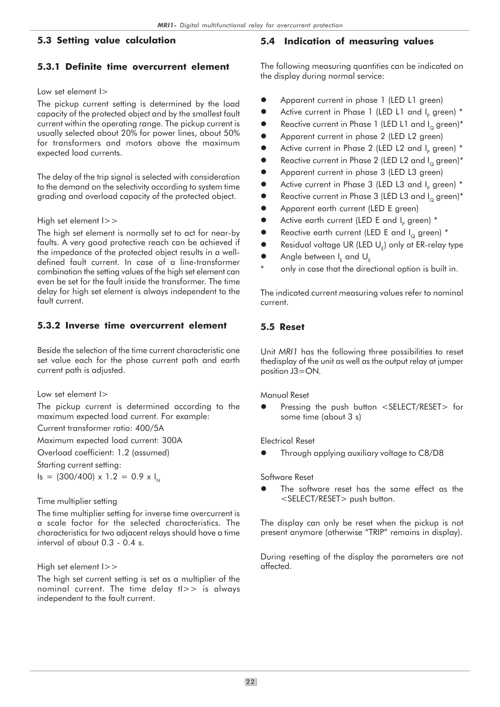#### 5.3 Setting value calculation

#### 5.3.1 Definite time overcurrent element

#### Low set element  $\vert$  >

The pickup current setting is determined by the load capacity of the protected object and by the smallest fault current within the operating range. The pickup current is usually selected about 20% for power lines, about 50% for transformers and motors above the maximum expected load currents.

The delay of the trip signal is selected with consideration to the demand on the selectivity according to system time grading and overload capacity of the protected object.

#### High set element I>>

The high set element is normally set to act for near-by faults. A very good protective reach can be achieved if the impedance of the protected object results in a welldefined fault current. In case of a line-transformer combination the setting values of the high set element can even be set for the fault inside the transformer. The time delay for high set element is always independent to the fault current.

#### 5.3.2 Inverse time overcurrent element

Beside the selection of the time current characteristic one set value each for the phase current path and earth current path is adjusted.

Low set element I>

The pickup current is determined according to the maximum expected load current. For example:

Current transformer ratio: 400/5A

Maximum expected load current: 300A

Overload coefficient: 1.2 (assumed)

Starting current setting:

 $Is = (300/400) \times 1.2 = 0.9 \times I_{N}$ 

#### Time multiplier setting

The time multiplier setting for inverse time overcurrent is a scale factor for the selected characteristics. The characteristics for two adjacent relays should have a time interval of about 0.3 - 0.4 s.

#### High set element I>>

The high set current setting is set as a multiplier of the nominal current. The time delay tI>> is always independent to the fault current.

#### 5.4 Indication of measuring values

The following measuring quantities can be indicated on the display during normal service:

- $\bullet$ Apparent current in phase 1 (LED L1 green)
- $\bullet$ • Active current in Phase 1 (LED L1 and I<sub>p</sub> green) \*
- $\bullet$ Reactive current in Phase 1 (LED L1 and  $I_0$  green)\*
- $\bullet$ Apparent current in phase 2 (LED L2 green)
- $\bullet$ • Active current in Phase 2 (LED L2 and  $I_p$  green)  $^*$
- $\bullet$ Reactive current in Phase 2 (LED L2 and  $I_0$  green)\*
- $\bullet$ Apparent current in phase 3 (LED L3 green)
- $\bullet$ • Active current in Phase 3 (LED L3 and I<sub>p</sub> green)  $^*$
- $\bullet$ Reactive current in Phase 3 (LED L3 and  $I_0$  green)\*
- $\bullet$ Apparent earth current (LED E green)
- $\bullet$ • Active earth current (LED E and  $I_p$  green)  $^*$
- $\bullet$ Reactive earth current (LED E and  $I_0$  green) \*
- $\bullet$  $\bullet$  Residual voltage UR (LED U<sub>E</sub>) only at ER-relay type
- $\bullet$  $\bullet$  Angle between I<sub>E</sub> and U<sub>E</sub>
- only in case that the directional option is built in.

The indicated current measuring values refer to nominal current.

#### 5.5 Reset

Unit MRI1 has the following three possibilities to reset thedisplay of the unit as well as the output relay at jumper position J3=ON.

Manual Reset

 $\bullet$  Pressing the push button <SELECT/RESET> for some time (about 3 s)

Electrical Reset

 $\bullet$ Through applying auxiliary voltage to C8/D8

Software Reset

 $\bullet$  The software reset has the same effect as the <SELECT/RESET> push button.

The display can only be reset when the pickup is not present anymore (otherwise "TRIP" remains in display).

During resetting of the display the parameters are not affected.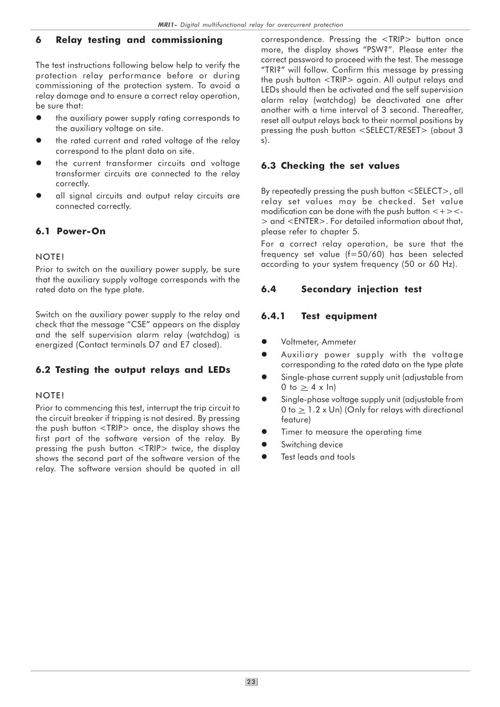### 6 Relay testing and commissioning

The test instructions following below help to verify the protection relay performance before or during commissioning of the protection system. To avoid a relay damage and to ensure a correct relay operation, be sure that:

- $\bullet$  the auxiliary power supply rating corresponds to the auxiliary voltage on site.
- $\bullet$  the rated current and rated voltage of the relay correspond to the plant data on site.
- $\bullet$  the current transformer circuits and voltage transformer circuits are connected to the relay correctly.
- $\bullet$  all signal circuits and output relay circuits are connected correctly.

### 6.1 Power-On

#### NOTE!

Prior to switch on the auxiliary power supply, be sure that the auxiliary supply voltage corresponds with the rated data on the type plate.

Switch on the auxiliary power supply to the relay and check that the message "CSE" appears on the display and the self supervision alarm relay (watchdog) is energized (Contact terminals D7 and E7 closed).

# 6.2 Testing the output relays and LEDs

#### NOTE!

Prior to commencing this test, interrupt the trip circuit to the circuit breaker if tripping is not desired. By pressing the push button <TRIP> once, the display shows the first part of the software version of the relay. By pressing the push button <TRIP> twice, the display shows the second part of the software version of the relay. The software version should be quoted in all

correspondence. Pressing the <TRIP> button once more, the display shows "PSW?". Please enter the correct password to proceed with the test. The message "TRI?" will follow. Confirm this message by pressing the push button <TRIP> again. All output relays and LEDs should then be activated and the self supervision alarm relay (watchdog) be deactivated one after another with a time interval of 3 second. Thereafter, reset all output relays back to their normal positions by pressing the push button <SELECT/RESET> (about 3 s).

### 6.3 Checking the set values

By repeatedly pressing the push button <SELECT>, all relay set values may be checked. Set value modification can be done with the push button  $\lt +$  >  $\lt$ -> and <ENTER>. For detailed information about that, please refer to chapter 5.

For a correct relay operation, be sure that the frequency set value (f=50/60) has been selected according to your system frequency (50 or 60 Hz).

### 6.4 Secondary injection test

# 6.4.1 Test equipment

- $\bullet$ Voltmeter, Ammeter
- $\bullet$  Auxiliary power supply with the voltage corresponding to the rated data on the type plate
- $\bullet$  Single-phase current supply unit (adjustable from 0 to  $\geq$  4 x ln)
- $\bullet$  Single-phase voltage supply unit (adjustable from 0 to  $\geq$  1.2 x Un) (Only for relays with directional feature)
- $\bullet$ Timer to measure the operating time
- $\bullet$ Switching device
- $\bullet$ Test leads and tools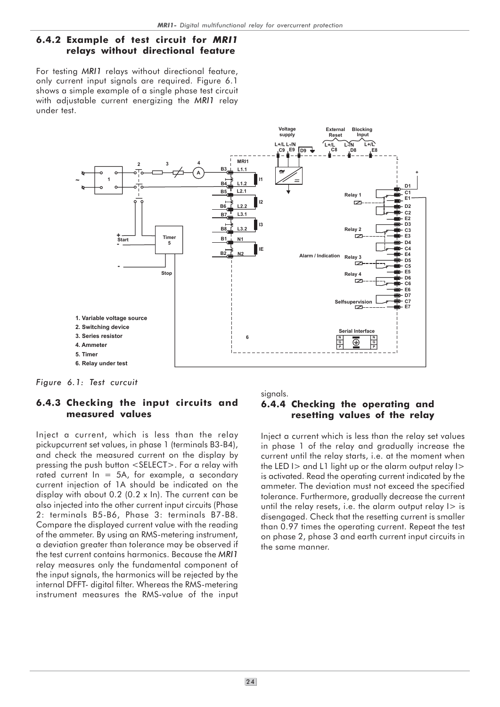#### 6.4.2 Example of test circuit for MRI1 relays without directional feature

For testing MRI1 relays without directional feature, only current input signals are required. Figure 6.1 shows a simple example of a single phase test circuit with adjustable current energizing the MRI1 relay under test.



Figure 6.1: Test curcuit

#### 6.4.3 Checking the input circuits and measured values

Inject a current, which is less than the relay pickupcurrent set values, in phase 1 (terminals B3-B4), and check the measured current on the display by pressing the push button <SELECT>. For a relay with rated current  $\ln = 5$ A, for example, a secondary current injection of 1A should be indicated on the display with about 0.2 (0.2 x In). The current can be also injected into the other current input circuits (Phase 2: terminals B5-B6, Phase 3: terminals B7-B8. Compare the displayed current value with the reading of the ammeter. By using an RMS-metering instrument, a deviation greater than tolerance may be observed if the test current contains harmonics. Because the MRI1 relay measures only the fundamental component of the input signals, the harmonics will be rejected by the internal DFFT- digital filter. Whereas the RMS-metering instrument measures the RMS-value of the input signals.

### 6.4.4 Checking the operating and resetting values of the relay

Inject a current which is less than the relay set values in phase 1 of the relay and gradually increase the current until the relay starts, i.e. at the moment when the LED  $\geq$  and L1 light up or the alarm output relay  $\geq$ is activated. Read the operating current indicated by the ammeter. The deviation must not exceed the specified tolerance. Furthermore, gradually decrease the current until the relay resets, i.e. the alarm output relay  $\ge$  is disengaged. Check that the resetting current is smaller than 0.97 times the operating current. Repeat the test on phase 2, phase 3 and earth current input circuits in the same manner.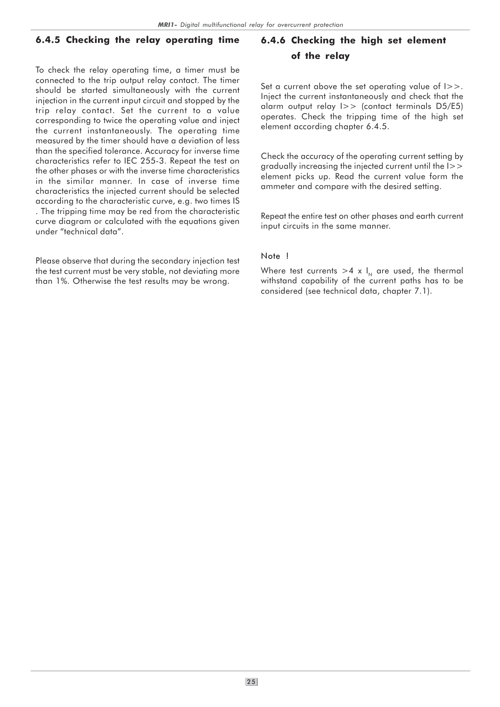### 6.4.5 Checking the relay operating time

To check the relay operating time, a timer must be connected to the trip output relay contact. The timer should be started simultaneously with the current injection in the current input circuit and stopped by the trip relay contact. Set the current to a value corresponding to twice the operating value and inject the current instantaneously. The operating time measured by the timer should have a deviation of less than the specified tolerance. Accuracy for inverse time characteristics refer to IEC 255-3. Repeat the test on the other phases or with the inverse time characteristics in the similar manner. In case of inverse time characteristics the injected current should be selected according to the characteristic curve, e.g. two times IS . The tripping time may be red from the characteristic curve diagram or calculated with the equations given under "technical data".

Please observe that during the secondary injection test the test current must be very stable, not deviating more than 1%. Otherwise the test results may be wrong.

# 6.4.6 Checking the high set element of the relay

Set a current above the set operating value of I>>. Inject the current instantaneously and check that the alarm output relay I>> (contact terminals D5/E5) operates. Check the tripping time of the high set element according chapter 6.4.5.

Check the accuracy of the operating current setting by gradually increasing the injected current until the I>> element picks up. Read the current value form the ammeter and compare with the desired setting.

Repeat the entire test on other phases and earth current input circuits in the same manner.

#### Note !

Where test currents  $>4 \times I_N$  are used, the thermal withstand capability of the current paths has to be considered (see technical data, chapter 7.1).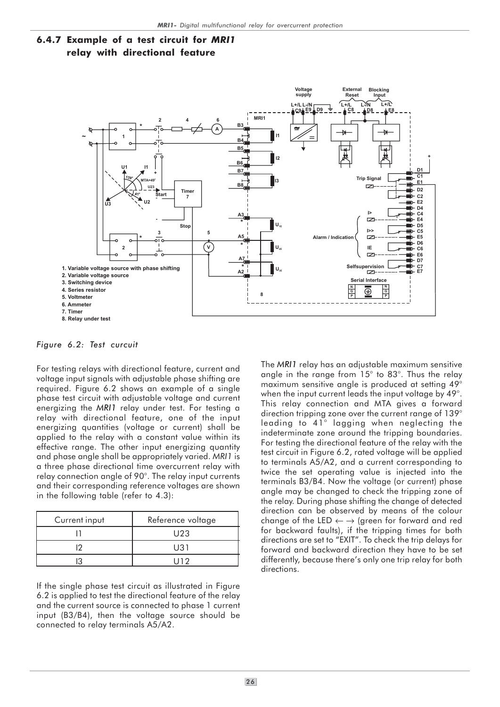



Figure 6.2: Test curcuit

For testing relays with directional feature, current and voltage input signals with adjustable phase shifting are required. Figure 6.2 shows an example of a single phase test circuit with adjustable voltage and current energizing the MRI1 relay under test. For testing a relay with directional feature, one of the input energizing quantities (voltage or current) shall be applied to the relay with a constant value within its effective range. The other input energizing quantity and phase angle shall be appropriately varied. MRI1 is a three phase directional time overcurrent relay with relay connection angle of 90°. The relay input currents and their corresponding reference voltages are shown in the following table (refer to 4.3):

| Current input | Reference voltage |
|---------------|-------------------|
|               | U23               |
| ♪             | U31               |
|               |                   |

If the single phase test circuit as illustrated in Figure 6.2 is applied to test the directional feature of the relay and the current source is connected to phase 1 current input (B3/B4), then the voltage source should be connected to relay terminals A5/A2.

The MRI1 relay has an adjustable maximum sensitive angle in the range from 15° to 83°. Thus the relay maximum sensitive angle is produced at setting 49° when the input current leads the input voltage by 49°. This relay connection and MTA gives a forward direction tripping zone over the current range of 139° leading to 41° lagging when neglecting the indeterminate zone around the tripping boundaries. For testing the directional feature of the relay with the test circuit in Figure 6.2, rated voltage will be applied to terminals A5/A2, and a current corresponding to twice the set operating value is injected into the terminals B3/B4. Now the voltage (or current) phase angle may be changed to check the tripping zone of the relay. During phase shifting the change of detected direction can be observed by means of the colour change of the LED  $\leftarrow \rightarrow$  (green for forward and red for backward faults), if the tripping times for both directions are set to "EXIT". To check the trip delays for forward and backward direction they have to be set differently, because there's only one trip relay for both directions.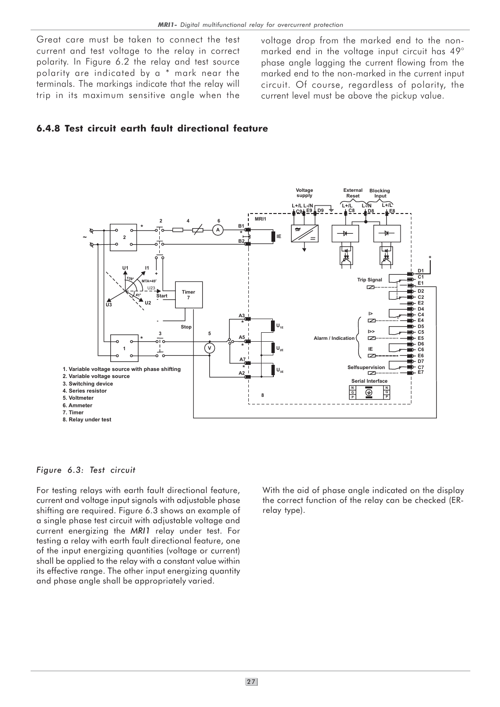Great care must be taken to connect the test current and test voltage to the relay in correct polarity. In Figure 6.2 the relay and test source polarity are indicated by a \* mark near the terminals. The markings indicate that the relay will trip in its maximum sensitive angle when the

voltage drop from the marked end to the nonmarked end in the voltage input circuit has 49° phase angle lagging the current flowing from the marked end to the non-marked in the current input circuit. Of course, regardless of polarity, the current level must be above the pickup value.

# 6.4.8 Test circuit earth fault directional feature



#### Figure 6.3: Test circuit

For testing relays with earth fault directional feature, current and voltage input signals with adjustable phase shifting are required. Figure 6.3 shows an example of a single phase test circuit with adjustable voltage and current energizing the MRI1 relay under test. For testing a relay with earth fault directional feature, one of the input energizing quantities (voltage or current) shall be applied to the relay with a constant value within its effective range. The other input energizing quantity and phase angle shall be appropriately varied.

With the aid of phase angle indicated on the display the correct function of the relay can be checked (ERrelay type).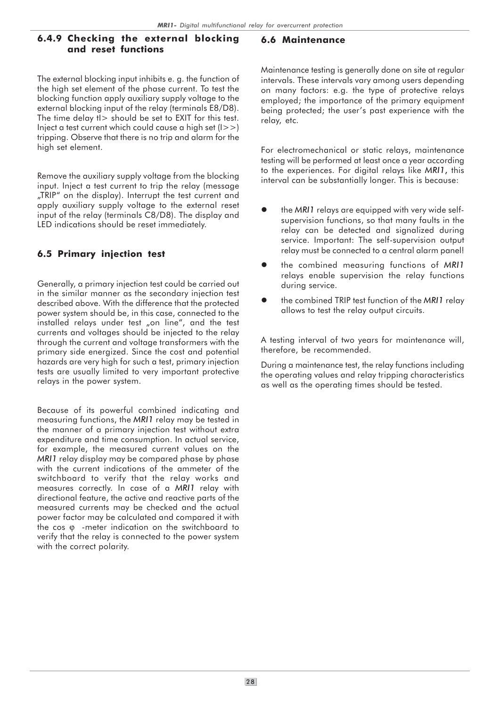#### 6.4.9 Checking the external blocking and reset functions

The external blocking input inhibits e. g. the function of the high set element of the phase current. To test the blocking function apply auxiliary supply voltage to the external blocking input of the relay (terminals E8/D8). The time delay  $t >$  should be set to EXIT for this test. Inject a test current which could cause a high set  $(1>>)$ tripping. Observe that there is no trip and alarm for the high set element.

Remove the auxiliary supply voltage from the blocking input. Inject a test current to trip the relay (message "TRIP" on the display). Interrupt the test current and apply auxiliary supply voltage to the external reset input of the relay (terminals C8/D8). The display and LED indications should be reset immediately.

### 6.5 Primary injection test

Generally, a primary injection test could be carried out in the similar manner as the secondary injection test described above. With the difference that the protected power system should be, in this case, connected to the installed relays under test "on line", and the test currents and voltages should be injected to the relay through the current and voltage transformers with the primary side energized. Since the cost and potential hazards are very high for such a test, primary injection tests are usually limited to very important protective relays in the power system.

Because of its powerful combined indicating and measuring functions, the MRI1 relay may be tested in the manner of a primary injection test without extra expenditure and time consumption. In actual service, for example, the measured current values on the MRI1 relay display may be compared phase by phase with the current indications of the ammeter of the switchboard to verify that the relay works and measures correctly. In case of a MRI1 relay with directional feature, the active and reactive parts of the measured currents may be checked and the actual power factor may be calculated and compared it with the cos ϕ -meter indication on the switchboard to verify that the relay is connected to the power system with the correct polarity.

#### 6.6 Maintenance

Maintenance testing is generally done on site at regular intervals. These intervals vary among users depending on many factors: e.g. the type of protective relays employed; the importance of the primary equipment being protected; the user's past experience with the relay, etc.

For electromechanical or static relays, maintenance testing will be performed at least once a year according to the experiences. For digital relays like MRI1, this interval can be substantially longer. This is because:

- $\bullet$  the MRI1 relays are equipped with very wide selfsupervision functions, so that many faults in the relay can be detected and signalized during service. Important: The self-supervision output relay must be connected to a central alarm panel!
- $\bullet$  the combined measuring functions of MRI1 relays enable supervision the relay functions during service.
- $\bullet$  the combined TRIP test function of the MRI1 relay allows to test the relay output circuits.

A testing interval of two years for maintenance will, therefore, be recommended.

During a maintenance test, the relay functions including the operating values and relay tripping characteristics as well as the operating times should be tested.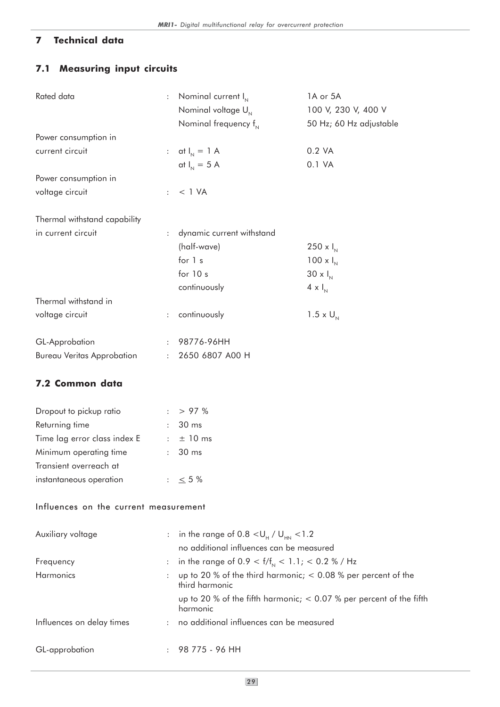# 7 Technical data

# 7.1 Measuring input circuits

| Rated data                            | $\ddot{\cdot}$            | Nominal current $I_{N}$                                                           | 1A or 5A                                                              |
|---------------------------------------|---------------------------|-----------------------------------------------------------------------------------|-----------------------------------------------------------------------|
|                                       |                           | Nominal voltage U <sub>N</sub>                                                    | 100 V, 230 V, 400 V                                                   |
|                                       |                           | Nominal frequency $f_{N}$                                                         | 50 Hz; 60 Hz adjustable                                               |
| Power consumption in                  |                           |                                                                                   |                                                                       |
| current circuit                       |                           | : at $I_{N} = 1$ A                                                                | 0.2 VA                                                                |
|                                       |                           | at $I_{N} = 5$ A                                                                  | 0.1 VA                                                                |
| Power consumption in                  |                           |                                                                                   |                                                                       |
| voltage circuit                       | $\ddot{\phantom{a}}$      | $<$ 1 VA                                                                          |                                                                       |
| Thermal withstand capability          |                           |                                                                                   |                                                                       |
| in current circuit                    | $\ddot{\cdot}$            | dynamic current withstand                                                         |                                                                       |
|                                       |                           | (half-wave)                                                                       | 250 x $I_{N}$                                                         |
|                                       |                           | for 1 s                                                                           | $100 \times I_{N}$                                                    |
|                                       |                           | for $10s$                                                                         | $30 \times I_{N}$                                                     |
|                                       |                           | continuously                                                                      | $4 \times I_{N}$                                                      |
| Thermal withstand in                  |                           |                                                                                   |                                                                       |
| voltage circuit                       | $\ddot{\phantom{0}}$      | continuously                                                                      | $1.5 \times U_{N}$                                                    |
|                                       |                           |                                                                                   |                                                                       |
| GL-Approbation                        | $\ddot{\cdot}$            | 98776-96HH                                                                        |                                                                       |
| <b>Bureau Veritas Approbation</b>     | $\ddot{\phantom{a}}$      | 2650 6807 A00 H                                                                   |                                                                       |
| 7.2 Common data                       |                           |                                                                                   |                                                                       |
| Dropout to pickup ratio               | $\mathbf{L}$              | > 97%                                                                             |                                                                       |
| Returning time                        |                           | 30 ms                                                                             |                                                                       |
| Time lag error class index E          | $\mathbb{Z}^{\mathbb{Z}}$ | ± 10 ms                                                                           |                                                                       |
| Minimum operating time                | $\ddot{\cdot}$            | 30 ms                                                                             |                                                                       |
| Transient overreach at                |                           |                                                                                   |                                                                       |
| instantaneous operation               |                           | : $\leq 5\%$                                                                      |                                                                       |
|                                       |                           |                                                                                   |                                                                       |
| Influences on the current measurement |                           |                                                                                   |                                                                       |
| Auxiliary voltage                     | $\ddot{\cdot}$            | in the range of 0.8 $<$ U <sub>H</sub> / U <sub>HN</sub> $<$ 1.2                  |                                                                       |
|                                       |                           | no additional influences can be measured                                          |                                                                       |
| Frequency                             | $\ddot{\cdot}$            | in the range of 0.9 < $f/f_{\text{N}}$ < 1.1; < 0.2 % / Hz                        |                                                                       |
| Harmonics                             | $\ddot{\cdot}$            | up to 20 % of the third harmonic; $< 0.08$ % per percent of the<br>third harmonic |                                                                       |
|                                       |                           | harmonic                                                                          | up to 20 % of the fifth harmonic; $<$ 0.07 % per percent of the fifth |
| Influences on delay times             |                           | no additional influences can be measured                                          |                                                                       |
| GL-approbation                        |                           | 98 775 - 96 HH                                                                    |                                                                       |
|                                       |                           |                                                                                   |                                                                       |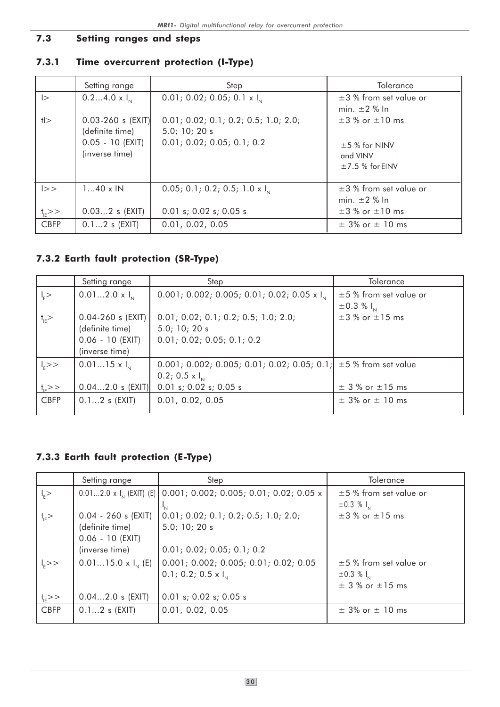# 7.3 Setting ranges and steps

# 7.3.1 Time overcurrent protection (I-Type)

|                       | Setting range           | Step                                             | Tolerance                   |
|-----------------------|-------------------------|--------------------------------------------------|-----------------------------|
| $\vert$               | $0.24.0 \times I_{N}$   | 0.01; 0.02; 0.05; 0.1 $\times$ I <sub>N</sub>    | $\pm$ 3 % from set value or |
|                       |                         |                                                  | min. $\pm 2$ % In           |
| H                     | $0.03 - 260$ s $ EXIT $ | 0.01; 0.02; 0.1; 0.2; 0.5; 1.0; 2.0;             | $\pm 3$ % or $\pm 10$ ms    |
|                       | (definite time)         | 5.0; 10; 20s                                     |                             |
|                       | $0.05 - 10$ (EXIT)      | 0.01; 0.02; 0.05; 0.1; 0.2                       | $±5%$ for NINV              |
|                       | (inverse time)          |                                                  | and VINV                    |
|                       |                         |                                                  | $±7.5%$ for EINV            |
|                       |                         |                                                  |                             |
| >>                    | $140 \times IN$         | 0.05; 0.1; 0.2; 0.5; 1.0 $\times$ I <sub>N</sub> | $\pm$ 3 % from set value or |
|                       |                         |                                                  | min. $\pm 2$ % In           |
| $t_{\rm{IF}}$ $>$ $>$ | $0.032$ s $(EXIT)$      | $0.01$ s; $0.02$ s; $0.05$ s                     | $\pm 3$ % or $\pm 10$ ms    |
| <b>CBFP</b>           | $0.12$ s (EXIT)         | 0.01, 0.02, 0.05                                 | $\pm$ 3% or $\pm$ 10 ms     |

# 7.3.2 Earth fault protection (SR-Type)

|                                | Setting range                                                                    | Step                                                                                                                            | <b>Tolerance</b>                                  |
|--------------------------------|----------------------------------------------------------------------------------|---------------------------------------------------------------------------------------------------------------------------------|---------------------------------------------------|
| $\vert$ <sub>E</sub> $>$       | $0.012.0 \times I_{N}$                                                           | 0.001; 0.002; 0.005; 0.01; 0.02; 0.05 x $I_N$                                                                                   | $\pm$ 5 % from set value or<br>$\pm 0.3 \% I_{N}$ |
| $\dagger$ <sub>IE</sub> $>$    | $0.04 - 260$ s (EXIT)<br>(definite time)<br>$0.06 - 10$ (EXIT)<br>(inverse time) | 0.01; 0.02; 0.1; 0.2; 0.5; 1.0; 2.0;<br>5.0; 10; 20s<br>0.01; 0.02; 0.05; 0.1; 0.2                                              | $\pm 3$ % or $\pm 15$ ms                          |
| $ _{F}$ >><br>$t_{\rm{IF}}$ >> | $0.0115 \times I_{N}$<br>$0.042.0$ s $(EXIT)$                                    | 0.001; 0.002; 0.005; 0.01; 0.02; 0.05; 0.1; $\pm$ 5 % from set value<br>$0.2; 0.5 \times I_{N}$<br>$0.01$ s; $0.02$ s; $0.05$ s | $\pm$ 3 % or $\pm$ 15 ms                          |
| <b>CBFP</b>                    | $0.12$ s $(EXIT)$                                                                | 0.01, 0.02, 0.05                                                                                                                | $\pm$ 3% or $\pm$ 10 ms                           |

# 7.3.3 Earth fault protection (E-Type)

|                    | Setting range               | Step                                                                                   | Tolerance                   |
|--------------------|-----------------------------|----------------------------------------------------------------------------------------|-----------------------------|
| $\vert$ >          |                             | $0.012.0 \times I_{N}$ (EXIT) (E) $0.001; 0.002; 0.005; 0.01; 0.02; 0.05 \times I_{N}$ | ±5 % from set value or      |
|                    |                             |                                                                                        | $\pm 0.3 \%$ $I_{N}$        |
| $t_{IE}$           | $0.04 - 260$ s (EXIT)       | 0.01; 0.02; 0.1; 0.2; 0.5; 1.0; 2.0;                                                   | $\pm$ 3 % or $\pm$ 15 ms    |
|                    | (definite time)             | 5.0; 10; 20s                                                                           |                             |
|                    | $0.06 - 10$ (EXIT)          |                                                                                        |                             |
|                    | (inverse time)              | 0.01; 0.02; 0.05; 0.1; 0.2                                                             |                             |
| $ _{E}$ >>         | $0.0115.0 \times I_{N}$ (E) | 0.001; 0.002; 0.005; 0.01; 0.02; 0.05                                                  | $\pm$ 5 % from set value or |
|                    |                             | $0.1; 0.2; 0.5 \times I_{N}$                                                           | $\pm 0.3 \%$ $I_{N}$        |
|                    |                             |                                                                                        | $\pm$ 3 % or $\pm$ 15 ms    |
| $t_{\text{IF}}$ >> | $0.042.0$ s (EXIT)          | $0.01$ s; $0.02$ s; $0.05$ s                                                           |                             |
| <b>CBFP</b>        | $0.12$ s $(EXIT)$           | 0.01, 0.02, 0.05                                                                       | $\pm$ 3% or $\pm$ 10 ms     |
|                    |                             |                                                                                        |                             |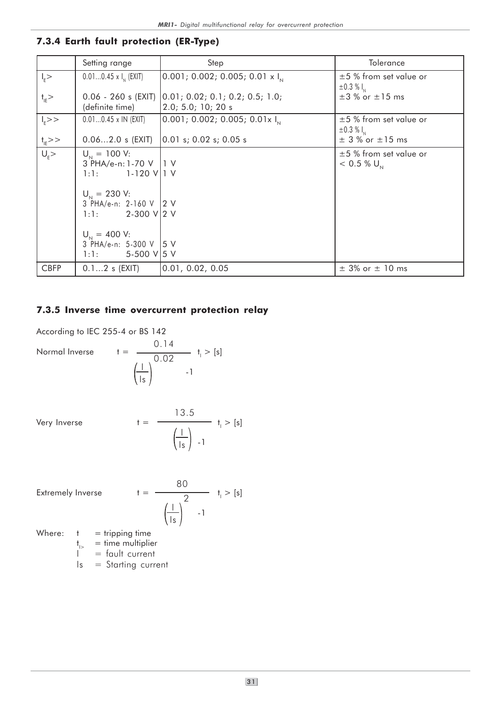# 7.3.4 Earth fault protection (ER-Type)

|                          | Setting range                                                                                                                                                                                                      | Step                                                     | Tolerance                                               |
|--------------------------|--------------------------------------------------------------------------------------------------------------------------------------------------------------------------------------------------------------------|----------------------------------------------------------|---------------------------------------------------------|
| $ $ <sub>E</sub> $>$     | $0.010.45 \times I_{N}$ (EXIT)                                                                                                                                                                                     | $\vert 0.001; 0.002; 0.005; 0.01 \times I_{\rm N} \vert$ | $\pm 5$ % from set value or<br>$\pm 0.3 \%$ $I_{N}$     |
| $t_{IE}$                 | $0.06 - 260$ s (EXIT)<br>(definite time)                                                                                                                                                                           | [0.01; 0.02; 0.1; 0.2; 0.5; 1.0;<br>2.0; 5.0; 10; 20s    | $\pm 3$ % or $\pm 15$ ms                                |
| $\overline{I_{\rm F}}>>$ | $0.010.45 \times IN$ (EXIT)                                                                                                                                                                                        | 0.001; 0.002; 0.005; 0.01x I                             | $\pm 5$ % from set value or<br>$\pm 0.3 \%$ $I_{N}$     |
| $t_{IE}$ >>              | $0.062.0$ s (EXIT)                                                                                                                                                                                                 | [0.01 s; 0.02 s; 0.05 s]                                 | $\pm$ 3 % or $\pm$ 15 ms                                |
| $\overline{U_{n}}$       | $U_{N} = 100$ V:<br>3 PHA/e-n: 1-70 V   1 V<br>1-120 VII V<br>1:1:<br>$U_{N} = 230$ V:<br>3 PHA/e-n: 2-160 V 2 V<br>1:1: 2-300 V 2 V<br>$U_{N} = 400$ V:<br>3 PHA/e-n: 5-300 V   5 V<br>$1:1: 5-500 \text{ V}$ 5 V |                                                          | $\pm$ 5 % from set value or<br>$< 0.5 %$ U <sub>N</sub> |
| <b>CBFP</b>              | $0.12$ s $(EXIT)$                                                                                                                                                                                                  | [0.01, 0.02, 0.05]                                       | $\pm$ 3% or $\pm$ 10 ms                                 |

### 7.3.5 Inverse time overcurrent protection relay

According to IEC 255-4 or BS 142

Normal Inverse  $t =$ 

0.14  
\n
$$
t_1 > [s]
$$
  
\n $\frac{1}{|s|}$  1  
\n-1

Very Inverse  $t =$ 

$$
\frac{13.5}{\left(\frac{1}{1s}\right) - 1} \quad t_1 > [s]
$$

Extremely Inverse  $t =$ 

$$
\frac{80}{\left(\frac{1}{1s}\right)^2} \quad t_1 > [s]
$$

Where:  $t = tripping time$ 

 $t_{\parallel>}$  = time multiplier

 $I =$  fault current

 $Is = Starting current$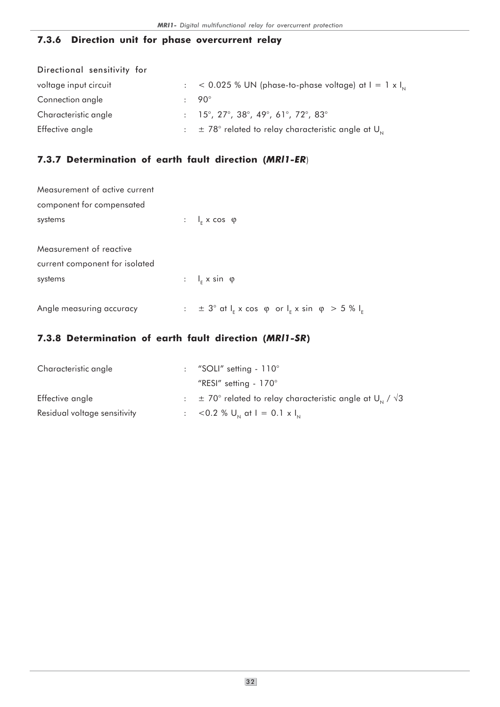### 7.3.6 Direction unit for phase overcurrent relay

| Directional sensitivity for |                                                                                        |
|-----------------------------|----------------------------------------------------------------------------------------|
| voltage input circuit       | $\therefore$ < 0.025 % UN (phase-to-phase voltage) at I = 1 x I <sub>N</sub>           |
| Connection angle            | $.90^\circ$                                                                            |
| Characteristic angle        | $: 15^{\circ}, 27^{\circ}, 38^{\circ}, 49^{\circ}, 61^{\circ}, 72^{\circ}, 83^{\circ}$ |
| Effective angle             | $\pm$ 78° related to relay characteristic angle at U <sub>N</sub>                      |

# 7.3.7 Determination of earth fault direction (MRl1-ER)

| Measurement of active current  |                                                                                |
|--------------------------------|--------------------------------------------------------------------------------|
| component for compensated      |                                                                                |
| systems                        | : $I_{F}$ x cos $\varphi$                                                      |
|                                |                                                                                |
| Measurement of reactive        |                                                                                |
| current component for isolated |                                                                                |
| systems                        | : $I_{F}$ x sin $\varphi$                                                      |
|                                |                                                                                |
| Angle measuring accuracy       | : $\pm$ 3° at $I_{F}$ x cos $\varphi$ or $I_{F}$ x sin $\varphi$ > 5 % $I_{F}$ |

# 7.3.8 Determination of earth fault direction (MRl1-SR)

| Characteristic angle         | : "SOLI" setting $-110^\circ$                                                  |
|------------------------------|--------------------------------------------------------------------------------|
|                              | "RESI" setting - $170^\circ$                                                   |
| Effective angle              | $\pm$ 70° related to relay characteristic angle at U <sub>N</sub> / $\sqrt{3}$ |
| Residual voltage sensitivity | : $<$ 0.2 % U <sub>N</sub> at I = 0.1 x I <sub>N</sub>                         |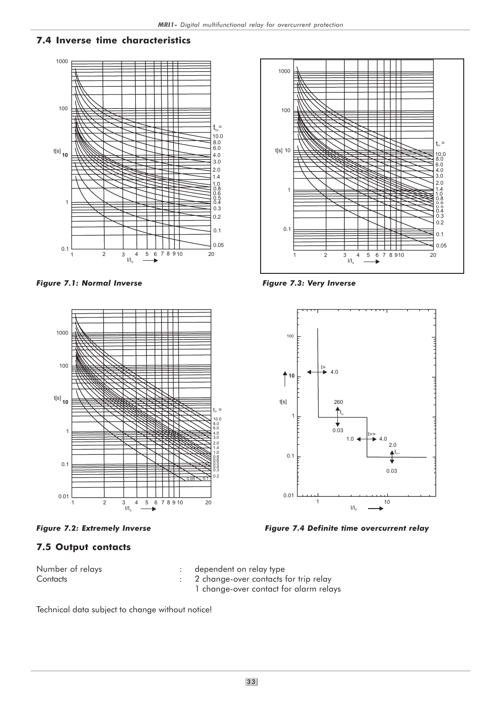### 7.4 Inverse time characteristics



Figure 7.1: Normal Inverse The American Series of Figure 7.3: Very Inverse





# 7.5 Output contacts

- Number of relays extending the computation relay type in Number of relays Contacts **Contacts** : 2 change-over contacts for trip relay
	- 1 change-over contact for alarm relays

Technical data subject to change without notice!





Figure 7.2: Extremely Inverse Figure 7.4 Definite time overcurrent relay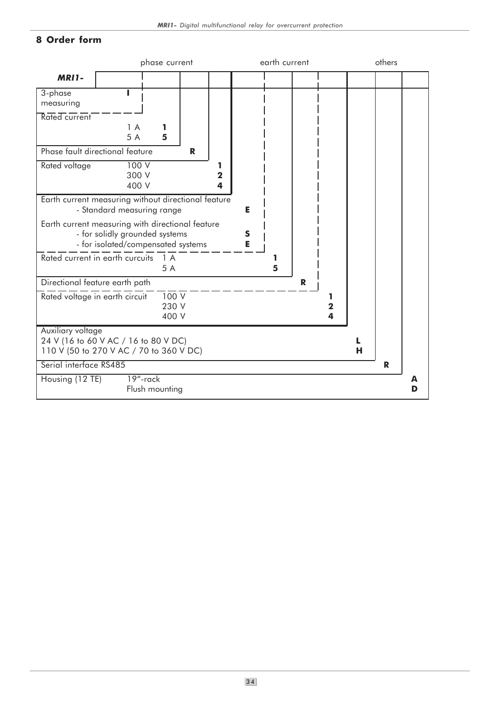# 8 Order form